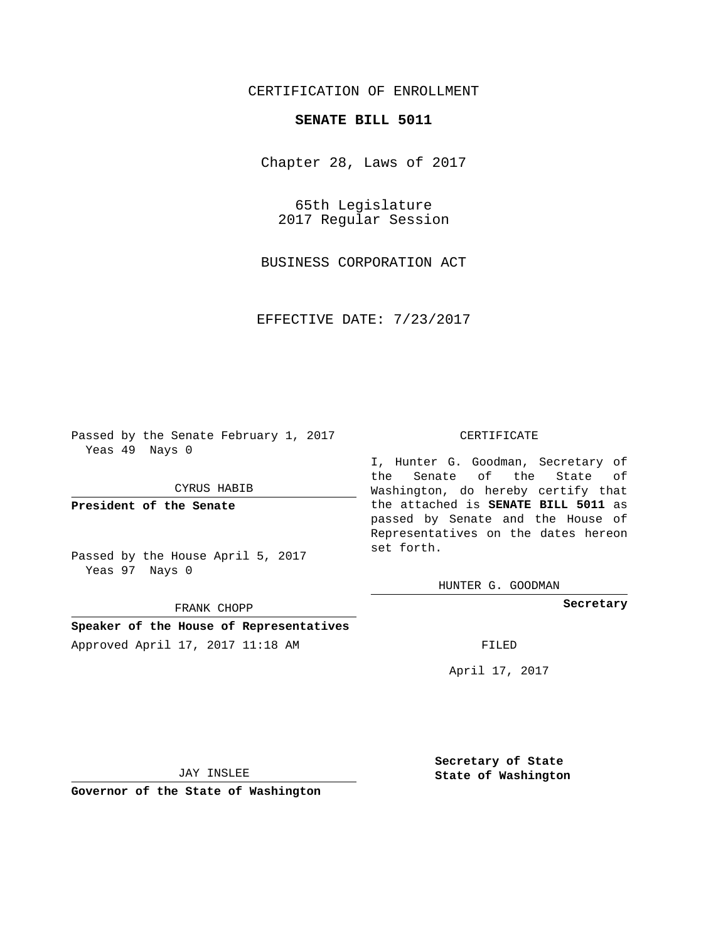## CERTIFICATION OF ENROLLMENT

## **SENATE BILL 5011**

Chapter 28, Laws of 2017

65th Legislature 2017 Regular Session

BUSINESS CORPORATION ACT

EFFECTIVE DATE: 7/23/2017

Passed by the Senate February 1, 2017 Yeas 49 Nays 0

CYRUS HABIB

**President of the Senate**

Passed by the House April 5, 2017 Yeas 97 Nays 0

FRANK CHOPP

**Speaker of the House of Representatives** Approved April 17, 2017 11:18 AM FILED

## CERTIFICATE

I, Hunter G. Goodman, Secretary of the Senate of the State of Washington, do hereby certify that the attached is **SENATE BILL 5011** as passed by Senate and the House of Representatives on the dates hereon set forth.

HUNTER G. GOODMAN

**Secretary**

April 17, 2017

JAY INSLEE

**Governor of the State of Washington**

**Secretary of State State of Washington**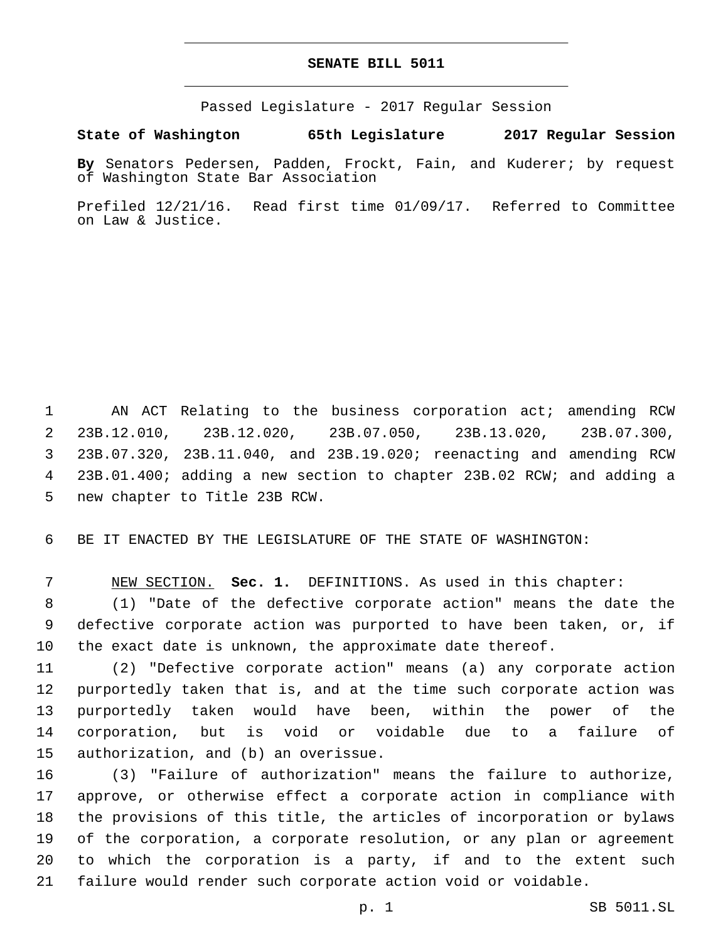## **SENATE BILL 5011**

Passed Legislature - 2017 Regular Session

**State of Washington 65th Legislature 2017 Regular Session**

**By** Senators Pedersen, Padden, Frockt, Fain, and Kuderer; by request of Washington State Bar Association

Prefiled 12/21/16. Read first time 01/09/17. Referred to Committee on Law & Justice.

 AN ACT Relating to the business corporation act; amending RCW 23B.12.010, 23B.12.020, 23B.07.050, 23B.13.020, 23B.07.300, 23B.07.320, 23B.11.040, and 23B.19.020; reenacting and amending RCW 23B.01.400; adding a new section to chapter 23B.02 RCW; and adding a 5 new chapter to Title 23B RCW.

BE IT ENACTED BY THE LEGISLATURE OF THE STATE OF WASHINGTON:

NEW SECTION. **Sec. 1.** DEFINITIONS. As used in this chapter:

 (1) "Date of the defective corporate action" means the date the defective corporate action was purported to have been taken, or, if the exact date is unknown, the approximate date thereof.

 (2) "Defective corporate action" means (a) any corporate action purportedly taken that is, and at the time such corporate action was purportedly taken would have been, within the power of the corporation, but is void or voidable due to a failure of 15 authorization, and (b) an overissue.

 (3) "Failure of authorization" means the failure to authorize, approve, or otherwise effect a corporate action in compliance with the provisions of this title, the articles of incorporation or bylaws of the corporation, a corporate resolution, or any plan or agreement to which the corporation is a party, if and to the extent such failure would render such corporate action void or voidable.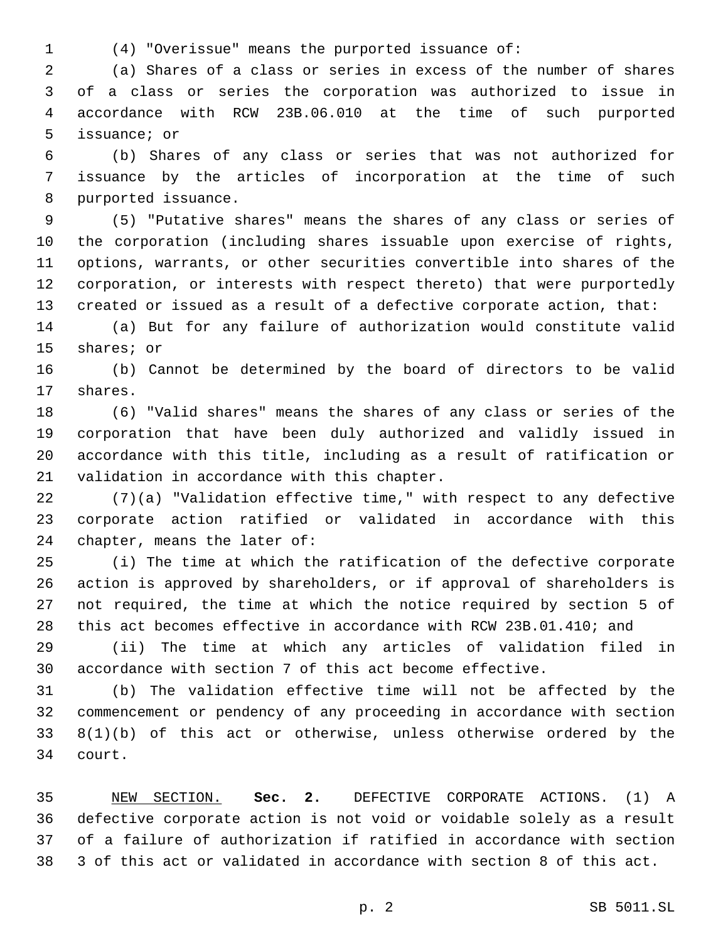(4) "Overissue" means the purported issuance of:

 (a) Shares of a class or series in excess of the number of shares of a class or series the corporation was authorized to issue in accordance with RCW 23B.06.010 at the time of such purported 5 issuance; or

 (b) Shares of any class or series that was not authorized for issuance by the articles of incorporation at the time of such 8 purported issuance.

 (5) "Putative shares" means the shares of any class or series of the corporation (including shares issuable upon exercise of rights, options, warrants, or other securities convertible into shares of the corporation, or interests with respect thereto) that were purportedly created or issued as a result of a defective corporate action, that:

 (a) But for any failure of authorization would constitute valid 15 shares; or

 (b) Cannot be determined by the board of directors to be valid 17 shares.

 (6) "Valid shares" means the shares of any class or series of the corporation that have been duly authorized and validly issued in accordance with this title, including as a result of ratification or 21 validation in accordance with this chapter.

 (7)(a) "Validation effective time," with respect to any defective corporate action ratified or validated in accordance with this 24 chapter, means the later of:

 (i) The time at which the ratification of the defective corporate action is approved by shareholders, or if approval of shareholders is not required, the time at which the notice required by section 5 of this act becomes effective in accordance with RCW 23B.01.410; and

 (ii) The time at which any articles of validation filed in accordance with section 7 of this act become effective.

 (b) The validation effective time will not be affected by the commencement or pendency of any proceeding in accordance with section 8(1)(b) of this act or otherwise, unless otherwise ordered by the 34 court.

 NEW SECTION. **Sec. 2.** DEFECTIVE CORPORATE ACTIONS. (1) A defective corporate action is not void or voidable solely as a result of a failure of authorization if ratified in accordance with section 3 of this act or validated in accordance with section 8 of this act.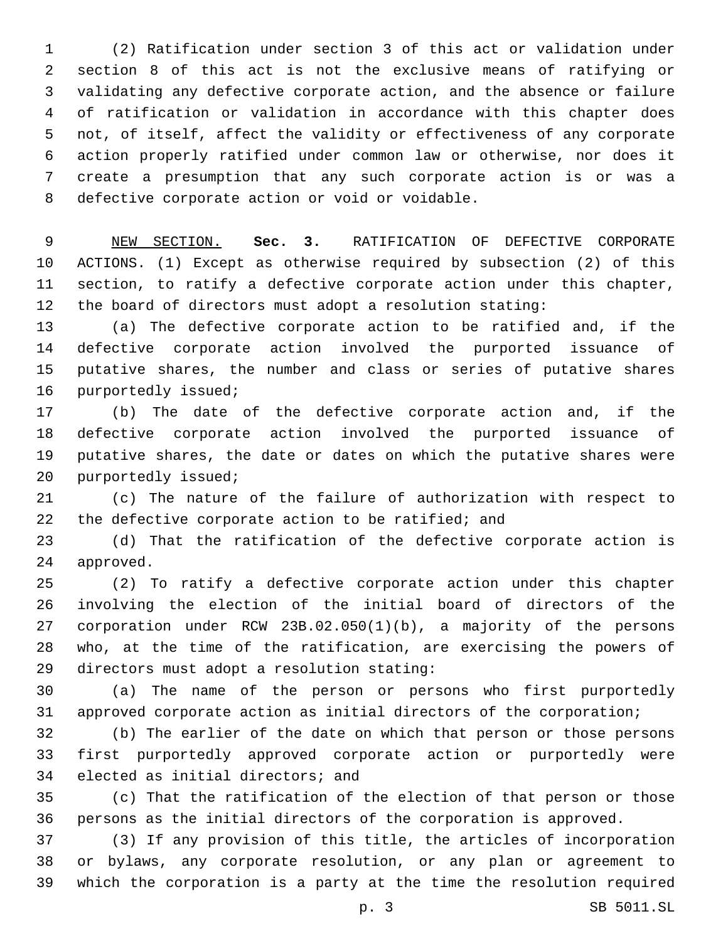(2) Ratification under section 3 of this act or validation under section 8 of this act is not the exclusive means of ratifying or validating any defective corporate action, and the absence or failure of ratification or validation in accordance with this chapter does not, of itself, affect the validity or effectiveness of any corporate action properly ratified under common law or otherwise, nor does it create a presumption that any such corporate action is or was a 8 defective corporate action or void or voidable.

 NEW SECTION. **Sec. 3.** RATIFICATION OF DEFECTIVE CORPORATE ACTIONS. (1) Except as otherwise required by subsection (2) of this section, to ratify a defective corporate action under this chapter, the board of directors must adopt a resolution stating:

 (a) The defective corporate action to be ratified and, if the defective corporate action involved the purported issuance of putative shares, the number and class or series of putative shares 16 purportedly issued;

 (b) The date of the defective corporate action and, if the defective corporate action involved the purported issuance of putative shares, the date or dates on which the putative shares were 20 purportedly issued;

 (c) The nature of the failure of authorization with respect to 22 the defective corporate action to be ratified; and

 (d) That the ratification of the defective corporate action is 24 approved.

 (2) To ratify a defective corporate action under this chapter involving the election of the initial board of directors of the corporation under RCW 23B.02.050(1)(b), a majority of the persons who, at the time of the ratification, are exercising the powers of 29 directors must adopt a resolution stating:

 (a) The name of the person or persons who first purportedly approved corporate action as initial directors of the corporation;

 (b) The earlier of the date on which that person or those persons first purportedly approved corporate action or purportedly were 34 elected as initial directors; and

 (c) That the ratification of the election of that person or those persons as the initial directors of the corporation is approved.

 (3) If any provision of this title, the articles of incorporation or bylaws, any corporate resolution, or any plan or agreement to which the corporation is a party at the time the resolution required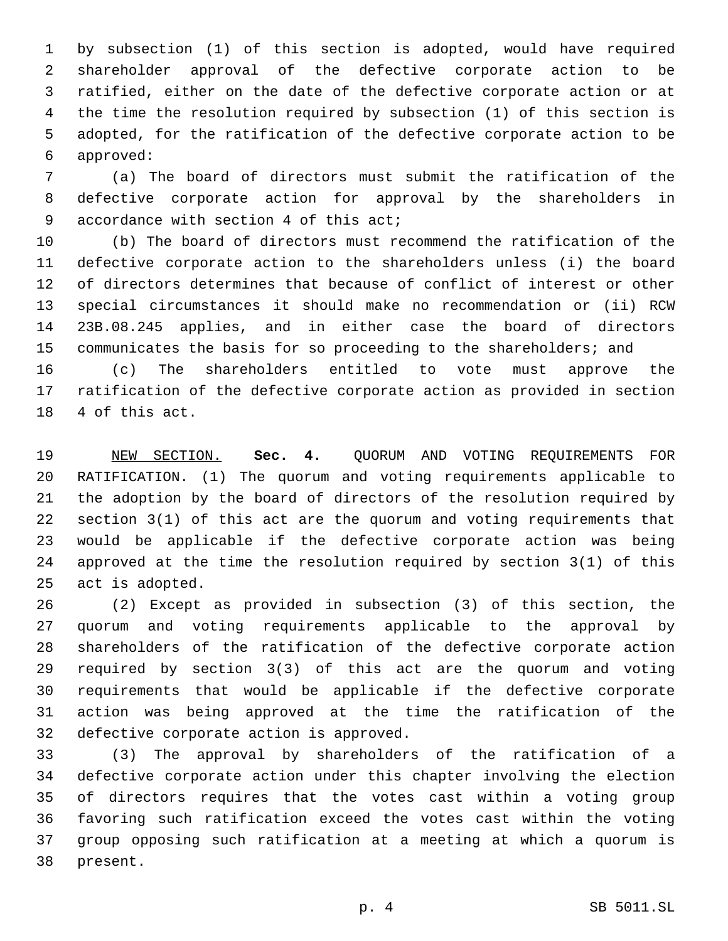by subsection (1) of this section is adopted, would have required shareholder approval of the defective corporate action to be ratified, either on the date of the defective corporate action or at the time the resolution required by subsection (1) of this section is adopted, for the ratification of the defective corporate action to be approved:6

 (a) The board of directors must submit the ratification of the defective corporate action for approval by the shareholders in 9 accordance with section 4 of this act;

 (b) The board of directors must recommend the ratification of the defective corporate action to the shareholders unless (i) the board of directors determines that because of conflict of interest or other special circumstances it should make no recommendation or (ii) RCW 23B.08.245 applies, and in either case the board of directors communicates the basis for so proceeding to the shareholders; and (c) The shareholders entitled to vote must approve the

 ratification of the defective corporate action as provided in section 18 4 of this act.

 NEW SECTION. **Sec. 4.** QUORUM AND VOTING REQUIREMENTS FOR RATIFICATION. (1) The quorum and voting requirements applicable to the adoption by the board of directors of the resolution required by section 3(1) of this act are the quorum and voting requirements that would be applicable if the defective corporate action was being approved at the time the resolution required by section 3(1) of this act is adopted.

 (2) Except as provided in subsection (3) of this section, the quorum and voting requirements applicable to the approval by shareholders of the ratification of the defective corporate action required by section 3(3) of this act are the quorum and voting requirements that would be applicable if the defective corporate action was being approved at the time the ratification of the 32 defective corporate action is approved.

 (3) The approval by shareholders of the ratification of a defective corporate action under this chapter involving the election of directors requires that the votes cast within a voting group favoring such ratification exceed the votes cast within the voting group opposing such ratification at a meeting at which a quorum is 38 present.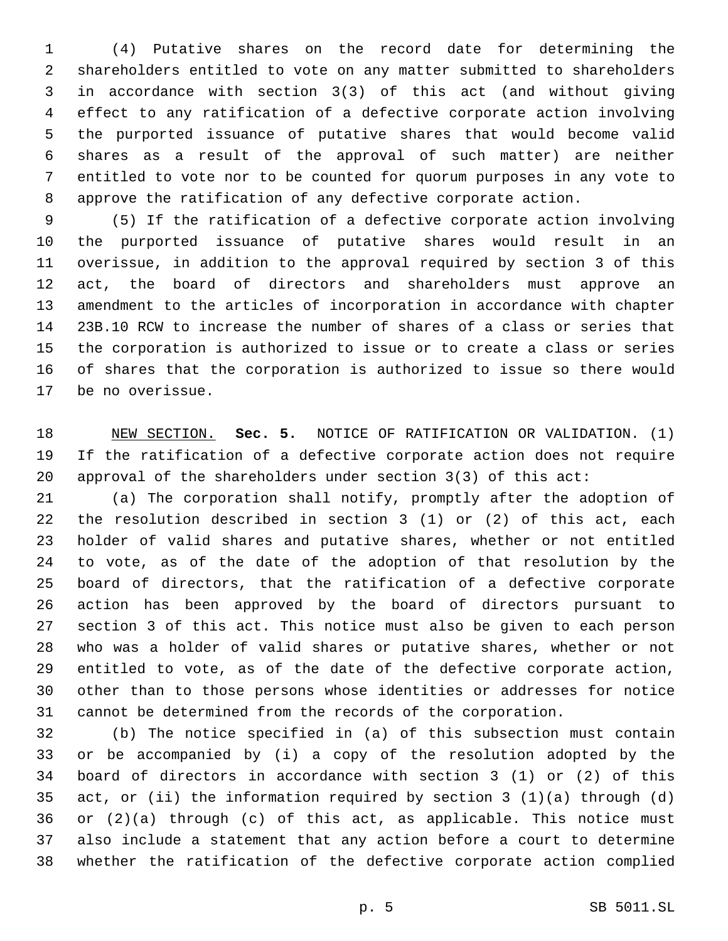(4) Putative shares on the record date for determining the shareholders entitled to vote on any matter submitted to shareholders in accordance with section 3(3) of this act (and without giving effect to any ratification of a defective corporate action involving the purported issuance of putative shares that would become valid shares as a result of the approval of such matter) are neither entitled to vote nor to be counted for quorum purposes in any vote to approve the ratification of any defective corporate action.

 (5) If the ratification of a defective corporate action involving the purported issuance of putative shares would result in an overissue, in addition to the approval required by section 3 of this act, the board of directors and shareholders must approve an amendment to the articles of incorporation in accordance with chapter 23B.10 RCW to increase the number of shares of a class or series that the corporation is authorized to issue or to create a class or series of shares that the corporation is authorized to issue so there would 17 be no overissue.

 NEW SECTION. **Sec. 5.** NOTICE OF RATIFICATION OR VALIDATION. (1) If the ratification of a defective corporate action does not require approval of the shareholders under section 3(3) of this act:

 (a) The corporation shall notify, promptly after the adoption of the resolution described in section 3 (1) or (2) of this act, each holder of valid shares and putative shares, whether or not entitled to vote, as of the date of the adoption of that resolution by the board of directors, that the ratification of a defective corporate action has been approved by the board of directors pursuant to section 3 of this act. This notice must also be given to each person who was a holder of valid shares or putative shares, whether or not entitled to vote, as of the date of the defective corporate action, other than to those persons whose identities or addresses for notice cannot be determined from the records of the corporation.

 (b) The notice specified in (a) of this subsection must contain or be accompanied by (i) a copy of the resolution adopted by the board of directors in accordance with section 3 (1) or (2) of this act, or (ii) the information required by section 3 (1)(a) through (d) or (2)(a) through (c) of this act, as applicable. This notice must also include a statement that any action before a court to determine whether the ratification of the defective corporate action complied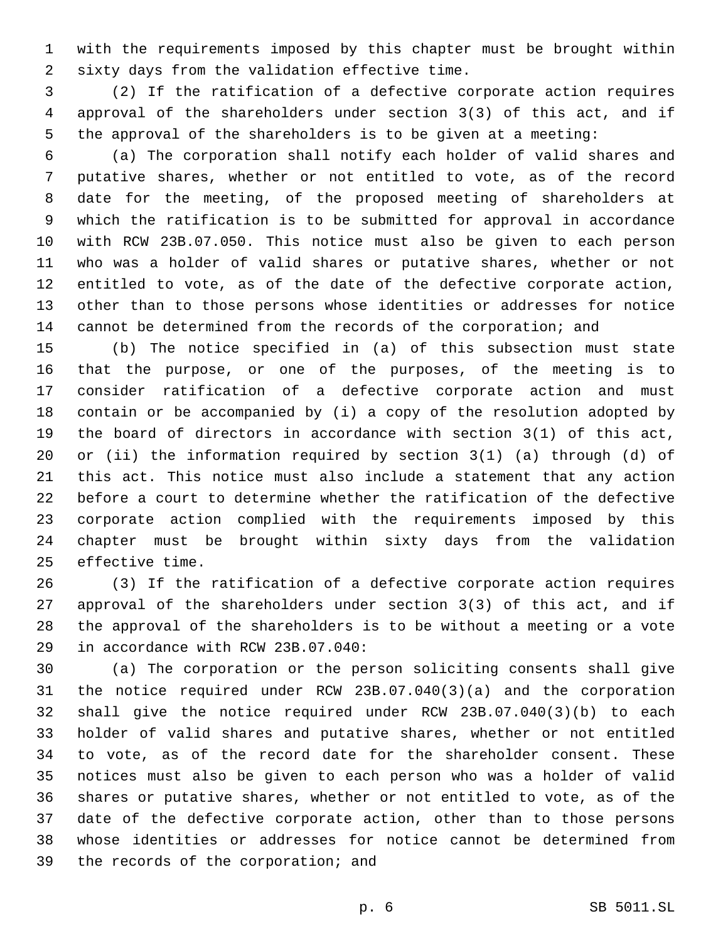with the requirements imposed by this chapter must be brought within sixty days from the validation effective time.2

 (2) If the ratification of a defective corporate action requires approval of the shareholders under section 3(3) of this act, and if the approval of the shareholders is to be given at a meeting:

 (a) The corporation shall notify each holder of valid shares and putative shares, whether or not entitled to vote, as of the record date for the meeting, of the proposed meeting of shareholders at which the ratification is to be submitted for approval in accordance with RCW 23B.07.050. This notice must also be given to each person who was a holder of valid shares or putative shares, whether or not entitled to vote, as of the date of the defective corporate action, other than to those persons whose identities or addresses for notice cannot be determined from the records of the corporation; and

 (b) The notice specified in (a) of this subsection must state that the purpose, or one of the purposes, of the meeting is to consider ratification of a defective corporate action and must contain or be accompanied by (i) a copy of the resolution adopted by the board of directors in accordance with section 3(1) of this act, or (ii) the information required by section 3(1) (a) through (d) of this act. This notice must also include a statement that any action before a court to determine whether the ratification of the defective corporate action complied with the requirements imposed by this chapter must be brought within sixty days from the validation 25 effective time.

 (3) If the ratification of a defective corporate action requires approval of the shareholders under section 3(3) of this act, and if the approval of the shareholders is to be without a meeting or a vote 29 in accordance with RCW 23B.07.040:

 (a) The corporation or the person soliciting consents shall give the notice required under RCW 23B.07.040(3)(a) and the corporation shall give the notice required under RCW 23B.07.040(3)(b) to each holder of valid shares and putative shares, whether or not entitled to vote, as of the record date for the shareholder consent. These notices must also be given to each person who was a holder of valid shares or putative shares, whether or not entitled to vote, as of the date of the defective corporate action, other than to those persons whose identities or addresses for notice cannot be determined from 39 the records of the corporation; and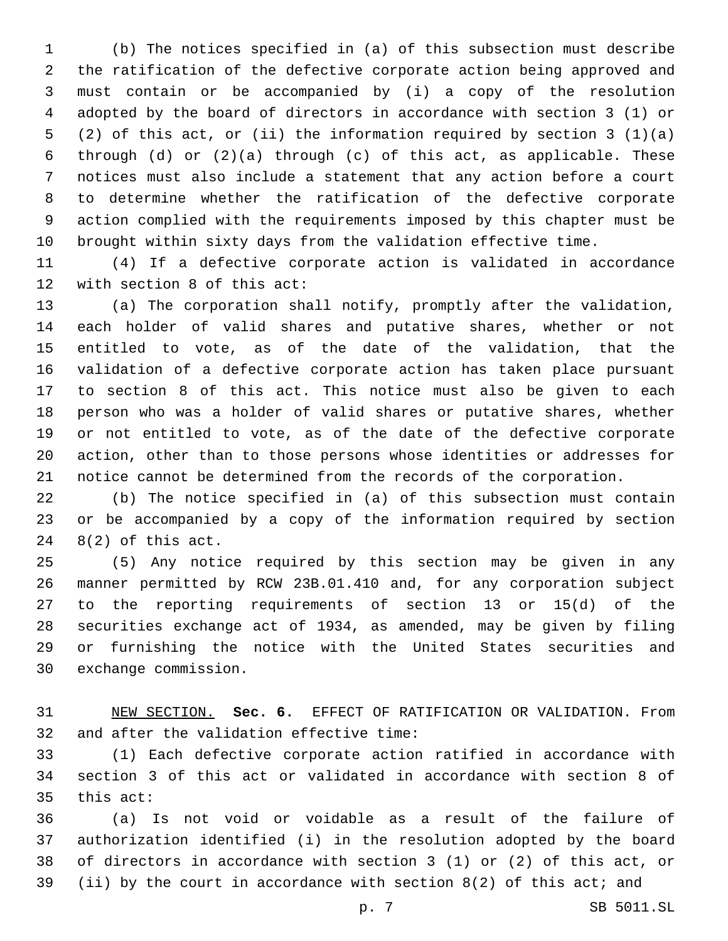(b) The notices specified in (a) of this subsection must describe the ratification of the defective corporate action being approved and must contain or be accompanied by (i) a copy of the resolution adopted by the board of directors in accordance with section 3 (1) or (2) of this act, or (ii) the information required by section 3 (1)(a) through (d) or (2)(a) through (c) of this act, as applicable. These notices must also include a statement that any action before a court to determine whether the ratification of the defective corporate action complied with the requirements imposed by this chapter must be brought within sixty days from the validation effective time.

 (4) If a defective corporate action is validated in accordance 12 with section 8 of this  $act:$ 

 (a) The corporation shall notify, promptly after the validation, each holder of valid shares and putative shares, whether or not entitled to vote, as of the date of the validation, that the validation of a defective corporate action has taken place pursuant to section 8 of this act. This notice must also be given to each person who was a holder of valid shares or putative shares, whether or not entitled to vote, as of the date of the defective corporate action, other than to those persons whose identities or addresses for notice cannot be determined from the records of the corporation.

 (b) The notice specified in (a) of this subsection must contain or be accompanied by a copy of the information required by section  $8(2)$  of this act.

 (5) Any notice required by this section may be given in any manner permitted by RCW 23B.01.410 and, for any corporation subject to the reporting requirements of section 13 or 15(d) of the securities exchange act of 1934, as amended, may be given by filing or furnishing the notice with the United States securities and 30 exchange commission.

 NEW SECTION. **Sec. 6.** EFFECT OF RATIFICATION OR VALIDATION. From and after the validation effective time:

 (1) Each defective corporate action ratified in accordance with section 3 of this act or validated in accordance with section 8 of this act:

 (a) Is not void or voidable as a result of the failure of authorization identified (i) in the resolution adopted by the board of directors in accordance with section 3 (1) or (2) of this act, or (ii) by the court in accordance with section 8(2) of this act; and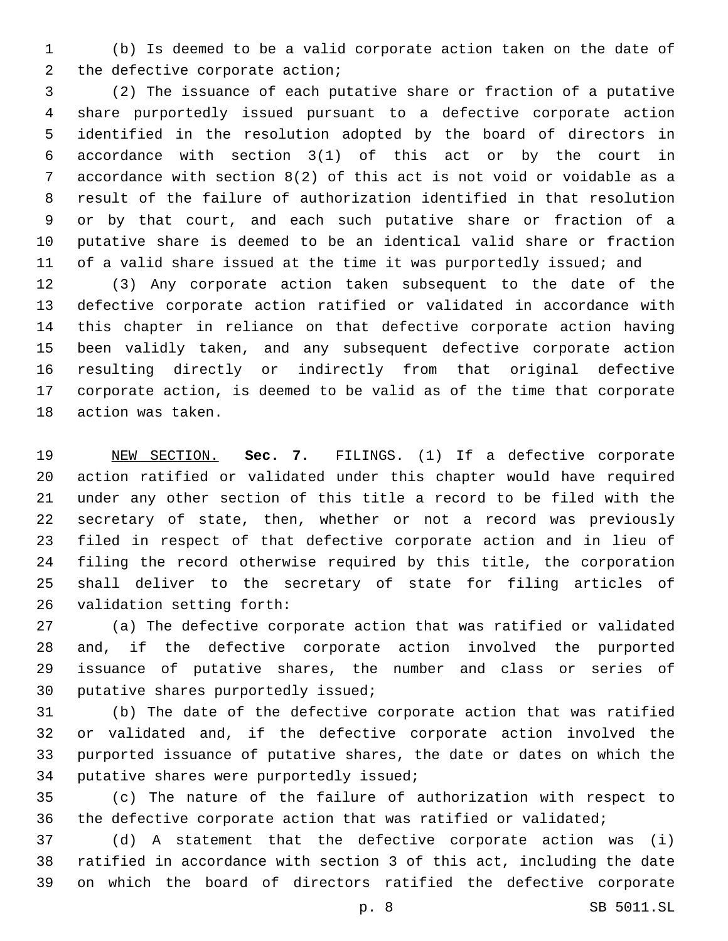(b) Is deemed to be a valid corporate action taken on the date of 2 the defective corporate action;

 (2) The issuance of each putative share or fraction of a putative share purportedly issued pursuant to a defective corporate action identified in the resolution adopted by the board of directors in accordance with section 3(1) of this act or by the court in accordance with section 8(2) of this act is not void or voidable as a result of the failure of authorization identified in that resolution or by that court, and each such putative share or fraction of a putative share is deemed to be an identical valid share or fraction of a valid share issued at the time it was purportedly issued; and

 (3) Any corporate action taken subsequent to the date of the defective corporate action ratified or validated in accordance with this chapter in reliance on that defective corporate action having been validly taken, and any subsequent defective corporate action resulting directly or indirectly from that original defective corporate action, is deemed to be valid as of the time that corporate 18 action was taken.

 NEW SECTION. **Sec. 7.** FILINGS. (1) If a defective corporate action ratified or validated under this chapter would have required under any other section of this title a record to be filed with the secretary of state, then, whether or not a record was previously filed in respect of that defective corporate action and in lieu of filing the record otherwise required by this title, the corporation shall deliver to the secretary of state for filing articles of validation setting forth:

 (a) The defective corporate action that was ratified or validated and, if the defective corporate action involved the purported issuance of putative shares, the number and class or series of 30 putative shares purportedly issued;

 (b) The date of the defective corporate action that was ratified or validated and, if the defective corporate action involved the purported issuance of putative shares, the date or dates on which the 34 putative shares were purportedly issued;

 (c) The nature of the failure of authorization with respect to the defective corporate action that was ratified or validated;

 (d) A statement that the defective corporate action was (i) ratified in accordance with section 3 of this act, including the date on which the board of directors ratified the defective corporate

p. 8 SB 5011.SL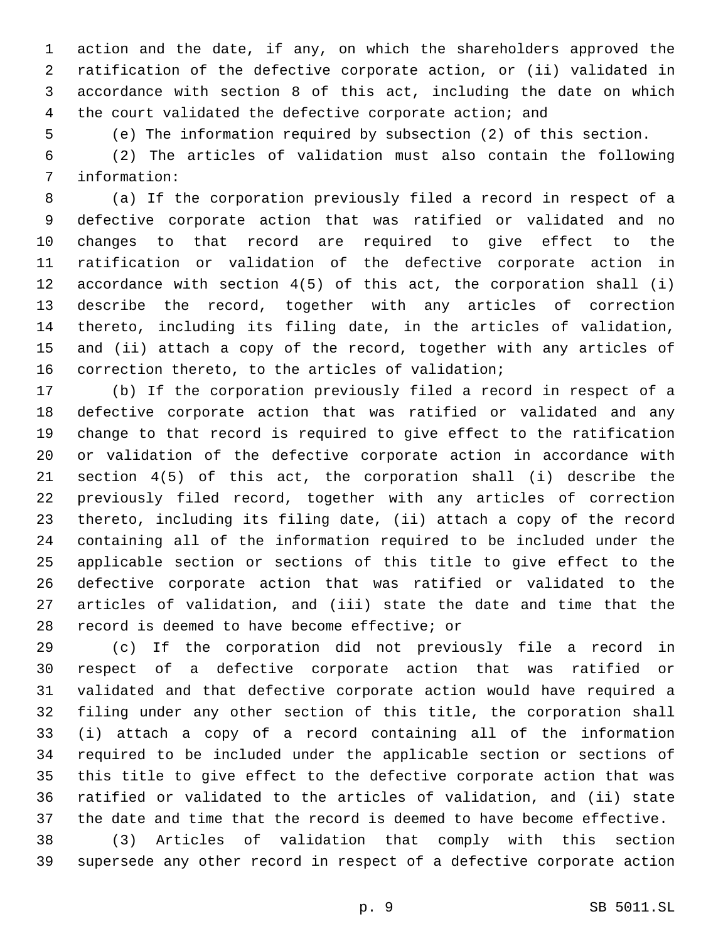action and the date, if any, on which the shareholders approved the ratification of the defective corporate action, or (ii) validated in accordance with section 8 of this act, including the date on which the court validated the defective corporate action; and

(e) The information required by subsection (2) of this section.

 (2) The articles of validation must also contain the following 7 information:

 (a) If the corporation previously filed a record in respect of a defective corporate action that was ratified or validated and no changes to that record are required to give effect to the ratification or validation of the defective corporate action in accordance with section 4(5) of this act, the corporation shall (i) describe the record, together with any articles of correction thereto, including its filing date, in the articles of validation, and (ii) attach a copy of the record, together with any articles of correction thereto, to the articles of validation;

 (b) If the corporation previously filed a record in respect of a defective corporate action that was ratified or validated and any change to that record is required to give effect to the ratification or validation of the defective corporate action in accordance with section 4(5) of this act, the corporation shall (i) describe the previously filed record, together with any articles of correction thereto, including its filing date, (ii) attach a copy of the record containing all of the information required to be included under the applicable section or sections of this title to give effect to the defective corporate action that was ratified or validated to the articles of validation, and (iii) state the date and time that the 28 record is deemed to have become effective; or

 (c) If the corporation did not previously file a record in respect of a defective corporate action that was ratified or validated and that defective corporate action would have required a filing under any other section of this title, the corporation shall (i) attach a copy of a record containing all of the information required to be included under the applicable section or sections of this title to give effect to the defective corporate action that was ratified or validated to the articles of validation, and (ii) state the date and time that the record is deemed to have become effective.

 (3) Articles of validation that comply with this section supersede any other record in respect of a defective corporate action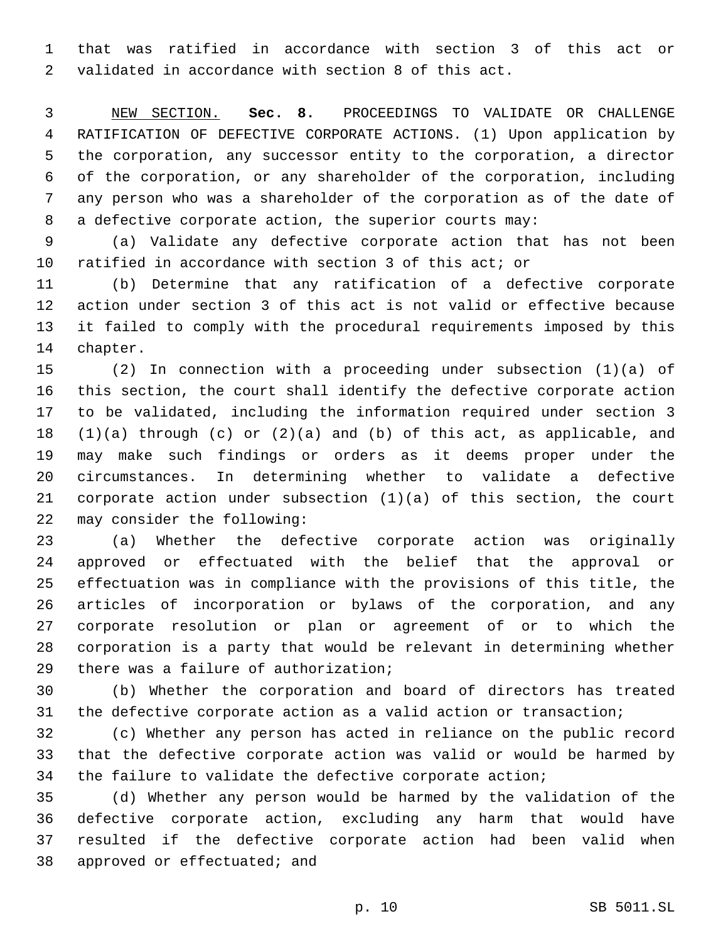that was ratified in accordance with section 3 of this act or validated in accordance with section 8 of this act.

 NEW SECTION. **Sec. 8.** PROCEEDINGS TO VALIDATE OR CHALLENGE RATIFICATION OF DEFECTIVE CORPORATE ACTIONS. (1) Upon application by the corporation, any successor entity to the corporation, a director of the corporation, or any shareholder of the corporation, including any person who was a shareholder of the corporation as of the date of a defective corporate action, the superior courts may:

 (a) Validate any defective corporate action that has not been ratified in accordance with section 3 of this act; or

 (b) Determine that any ratification of a defective corporate action under section 3 of this act is not valid or effective because it failed to comply with the procedural requirements imposed by this 14 chapter.

 (2) In connection with a proceeding under subsection (1)(a) of this section, the court shall identify the defective corporate action to be validated, including the information required under section 3 (1)(a) through (c) or (2)(a) and (b) of this act, as applicable, and may make such findings or orders as it deems proper under the circumstances. In determining whether to validate a defective corporate action under subsection (1)(a) of this section, the court 22 may consider the following:

 (a) Whether the defective corporate action was originally approved or effectuated with the belief that the approval or effectuation was in compliance with the provisions of this title, the articles of incorporation or bylaws of the corporation, and any corporate resolution or plan or agreement of or to which the corporation is a party that would be relevant in determining whether 29 there was a failure of authorization;

 (b) Whether the corporation and board of directors has treated the defective corporate action as a valid action or transaction;

 (c) Whether any person has acted in reliance on the public record that the defective corporate action was valid or would be harmed by the failure to validate the defective corporate action;

 (d) Whether any person would be harmed by the validation of the defective corporate action, excluding any harm that would have resulted if the defective corporate action had been valid when 38 approved or effectuated; and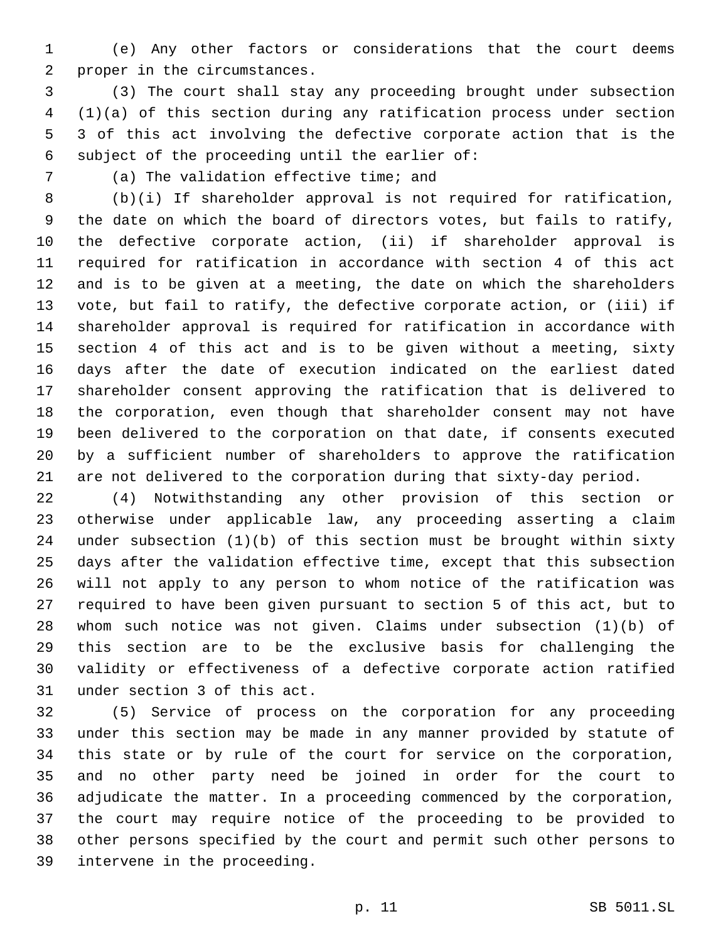(e) Any other factors or considerations that the court deems 2 proper in the circumstances.

 (3) The court shall stay any proceeding brought under subsection (1)(a) of this section during any ratification process under section 3 of this act involving the defective corporate action that is the 6 subject of the proceeding until the earlier of:

7 (a) The validation effective time; and

 (b)(i) If shareholder approval is not required for ratification, the date on which the board of directors votes, but fails to ratify, the defective corporate action, (ii) if shareholder approval is required for ratification in accordance with section 4 of this act and is to be given at a meeting, the date on which the shareholders vote, but fail to ratify, the defective corporate action, or (iii) if shareholder approval is required for ratification in accordance with section 4 of this act and is to be given without a meeting, sixty days after the date of execution indicated on the earliest dated shareholder consent approving the ratification that is delivered to the corporation, even though that shareholder consent may not have been delivered to the corporation on that date, if consents executed by a sufficient number of shareholders to approve the ratification are not delivered to the corporation during that sixty-day period.

 (4) Notwithstanding any other provision of this section or otherwise under applicable law, any proceeding asserting a claim under subsection (1)(b) of this section must be brought within sixty days after the validation effective time, except that this subsection will not apply to any person to whom notice of the ratification was required to have been given pursuant to section 5 of this act, but to whom such notice was not given. Claims under subsection (1)(b) of this section are to be the exclusive basis for challenging the validity or effectiveness of a defective corporate action ratified 31 under section 3 of this act.

 (5) Service of process on the corporation for any proceeding under this section may be made in any manner provided by statute of this state or by rule of the court for service on the corporation, and no other party need be joined in order for the court to adjudicate the matter. In a proceeding commenced by the corporation, the court may require notice of the proceeding to be provided to other persons specified by the court and permit such other persons to 39 intervene in the proceeding.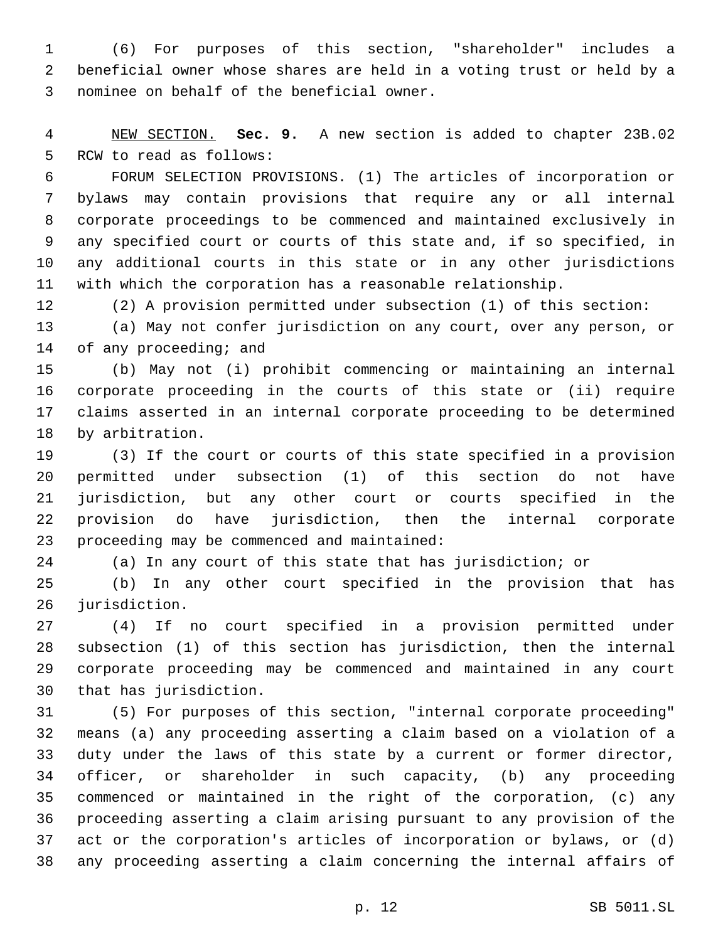(6) For purposes of this section, "shareholder" includes a beneficial owner whose shares are held in a voting trust or held by a 3 nominee on behalf of the beneficial owner.

 NEW SECTION. **Sec. 9.** A new section is added to chapter 23B.02 5 RCW to read as follows:

 FORUM SELECTION PROVISIONS. (1) The articles of incorporation or bylaws may contain provisions that require any or all internal corporate proceedings to be commenced and maintained exclusively in any specified court or courts of this state and, if so specified, in any additional courts in this state or in any other jurisdictions with which the corporation has a reasonable relationship.

(2) A provision permitted under subsection (1) of this section:

 (a) May not confer jurisdiction on any court, over any person, or 14 of any proceeding; and

 (b) May not (i) prohibit commencing or maintaining an internal corporate proceeding in the courts of this state or (ii) require claims asserted in an internal corporate proceeding to be determined 18 by arbitration.

 (3) If the court or courts of this state specified in a provision permitted under subsection (1) of this section do not have jurisdiction, but any other court or courts specified in the provision do have jurisdiction, then the internal corporate 23 proceeding may be commenced and maintained:

(a) In any court of this state that has jurisdiction; or

 (b) In any other court specified in the provision that has 26 jurisdiction.

 (4) If no court specified in a provision permitted under subsection (1) of this section has jurisdiction, then the internal corporate proceeding may be commenced and maintained in any court 30 that has jurisdiction.

 (5) For purposes of this section, "internal corporate proceeding" means (a) any proceeding asserting a claim based on a violation of a duty under the laws of this state by a current or former director, officer, or shareholder in such capacity, (b) any proceeding commenced or maintained in the right of the corporation, (c) any proceeding asserting a claim arising pursuant to any provision of the act or the corporation's articles of incorporation or bylaws, or (d) any proceeding asserting a claim concerning the internal affairs of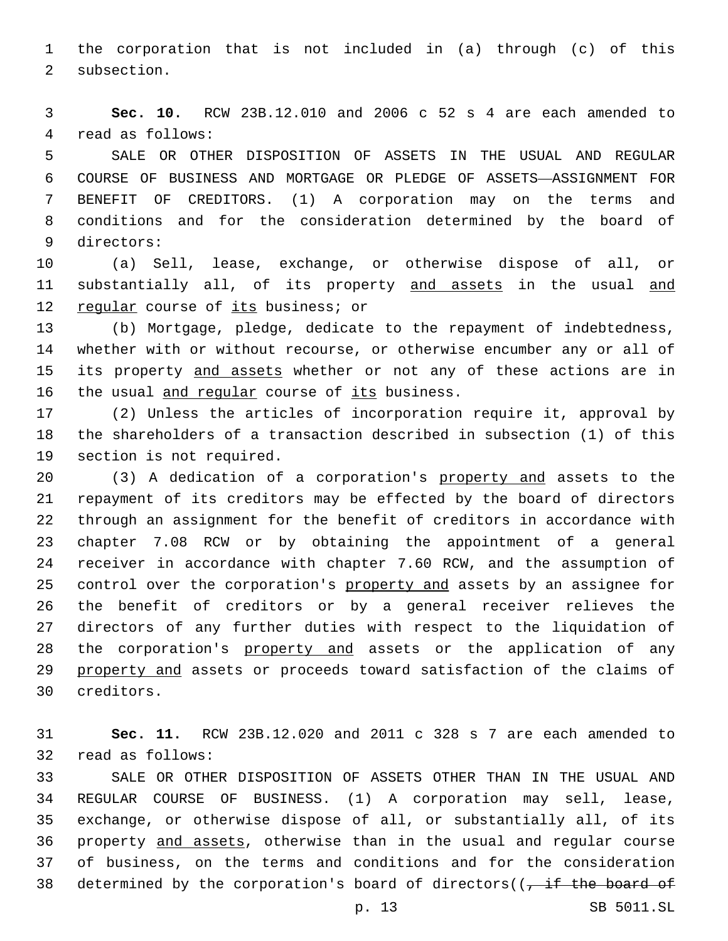the corporation that is not included in (a) through (c) of this 2 subsection.

 **Sec. 10.** RCW 23B.12.010 and 2006 c 52 s 4 are each amended to 4 read as follows:

 SALE OR OTHER DISPOSITION OF ASSETS IN THE USUAL AND REGULAR COURSE OF BUSINESS AND MORTGAGE OR PLEDGE OF ASSETS—ASSIGNMENT FOR BENEFIT OF CREDITORS. (1) A corporation may on the terms and conditions and for the consideration determined by the board of 9 directors:

 (a) Sell, lease, exchange, or otherwise dispose of all, or 11 substantially all, of its property and assets in the usual and 12 regular course of its business; or

 (b) Mortgage, pledge, dedicate to the repayment of indebtedness, whether with or without recourse, or otherwise encumber any or all of its property and assets whether or not any of these actions are in 16 the usual and regular course of its business.

 (2) Unless the articles of incorporation require it, approval by the shareholders of a transaction described in subsection (1) of this 19 section is not required.

 (3) A dedication of a corporation's property and assets to the repayment of its creditors may be effected by the board of directors through an assignment for the benefit of creditors in accordance with chapter 7.08 RCW or by obtaining the appointment of a general receiver in accordance with chapter 7.60 RCW, and the assumption of control over the corporation's property and assets by an assignee for the benefit of creditors or by a general receiver relieves the directors of any further duties with respect to the liquidation of the corporation's property and assets or the application of any property and assets or proceeds toward satisfaction of the claims of creditors.30

 **Sec. 11.** RCW 23B.12.020 and 2011 c 328 s 7 are each amended to 32 read as follows:

 SALE OR OTHER DISPOSITION OF ASSETS OTHER THAN IN THE USUAL AND REGULAR COURSE OF BUSINESS. (1) A corporation may sell, lease, exchange, or otherwise dispose of all, or substantially all, of its property and assets, otherwise than in the usual and regular course of business, on the terms and conditions and for the consideration 38 determined by the corporation's board of directors( $\left(-\right)$  if the board of

p. 13 SB 5011.SL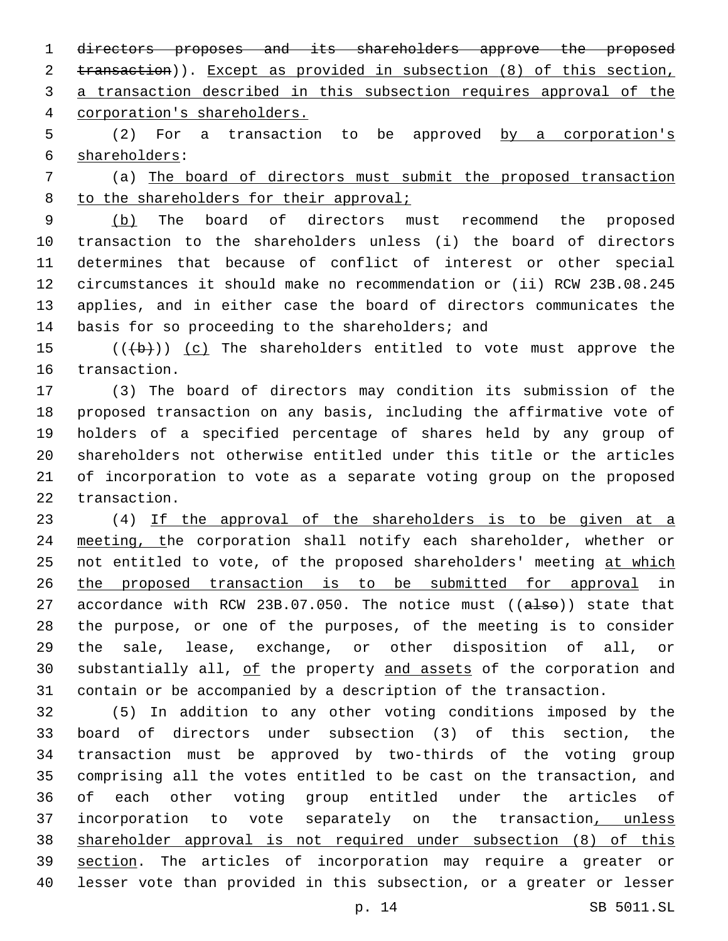directors proposes and its shareholders approve the proposed transaction)). Except as provided in subsection (8) of this section, a transaction described in this subsection requires approval of the corporation's shareholders.

5 (2) For a transaction to be approved by a corporation's 6 shareholders:

 (a) The board of directors must submit the proposed transaction 8 to the shareholders for their approval;

 (b) The board of directors must recommend the proposed transaction to the shareholders unless (i) the board of directors determines that because of conflict of interest or other special circumstances it should make no recommendation or (ii) RCW 23B.08.245 applies, and in either case the board of directors communicates the 14 basis for so proceeding to the shareholders; and

15  $((+b))$   $(c)$  The shareholders entitled to vote must approve the 16 transaction.

 (3) The board of directors may condition its submission of the proposed transaction on any basis, including the affirmative vote of holders of a specified percentage of shares held by any group of shareholders not otherwise entitled under this title or the articles of incorporation to vote as a separate voting group on the proposed 22 transaction.

 (4) If the approval of the shareholders is to be given at a 24 meeting, the corporation shall notify each shareholder, whether or 25 not entitled to vote, of the proposed shareholders' meeting at which the proposed transaction is to be submitted for approval in accordance with RCW 23B.07.050. The notice must ((also)) state that the purpose, or one of the purposes, of the meeting is to consider the sale, lease, exchange, or other disposition of all, or 30 substantially all, of the property and assets of the corporation and contain or be accompanied by a description of the transaction.

 (5) In addition to any other voting conditions imposed by the board of directors under subsection (3) of this section, the transaction must be approved by two-thirds of the voting group comprising all the votes entitled to be cast on the transaction, and of each other voting group entitled under the articles of 37 incorporation to vote separately on the transaction, unless shareholder approval is not required under subsection (8) of this section. The articles of incorporation may require a greater or lesser vote than provided in this subsection, or a greater or lesser

p. 14 SB 5011.SL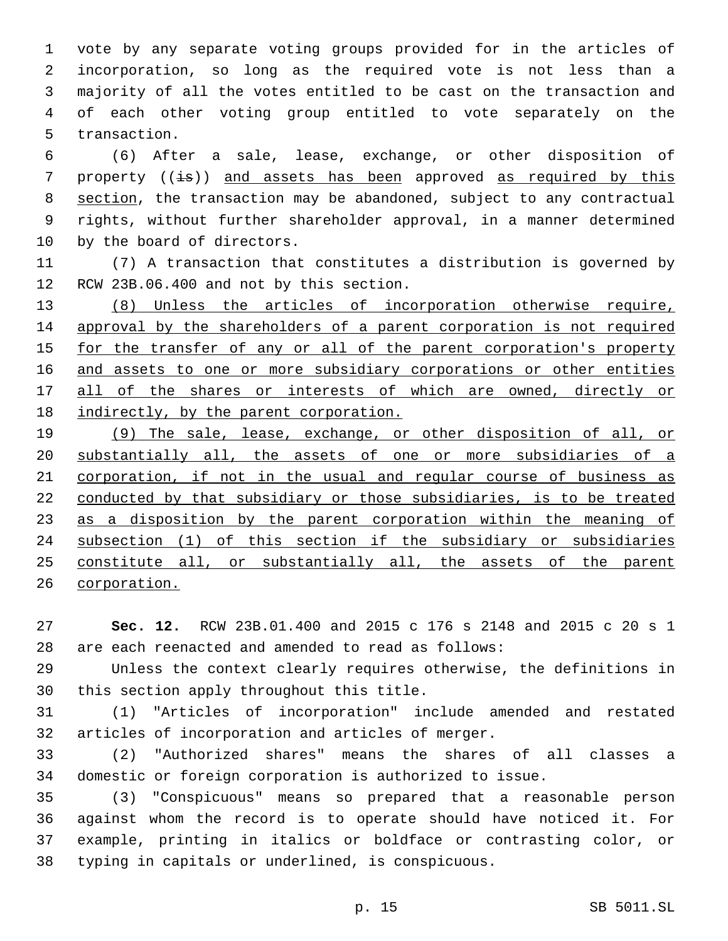vote by any separate voting groups provided for in the articles of incorporation, so long as the required vote is not less than a majority of all the votes entitled to be cast on the transaction and of each other voting group entitled to vote separately on the 5 transaction.

 (6) After a sale, lease, exchange, or other disposition of 7 property  $(\pm s)$  and assets has been approved as required by this section, the transaction may be abandoned, subject to any contractual rights, without further shareholder approval, in a manner determined 10 by the board of directors.

 (7) A transaction that constitutes a distribution is governed by 12 RCW 23B.06.400 and not by this section.

 (8) Unless the articles of incorporation otherwise require, approval by the shareholders of a parent corporation is not required for the transfer of any or all of the parent corporation's property and assets to one or more subsidiary corporations or other entities 17 all of the shares or interests of which are owned, directly or indirectly, by the parent corporation.

 (9) The sale, lease, exchange, or other disposition of all, or substantially all, the assets of one or more subsidiaries of a corporation, if not in the usual and regular course of business as conducted by that subsidiary or those subsidiaries, is to be treated 23 as a disposition by the parent corporation within the meaning of subsection (1) of this section if the subsidiary or subsidiaries constitute all, or substantially all, the assets of the parent corporation.

 **Sec. 12.** RCW 23B.01.400 and 2015 c 176 s 2148 and 2015 c 20 s 1 are each reenacted and amended to read as follows:

 Unless the context clearly requires otherwise, the definitions in 30 this section apply throughout this title.

 (1) "Articles of incorporation" include amended and restated 32 articles of incorporation and articles of merger.

 (2) "Authorized shares" means the shares of all classes a domestic or foreign corporation is authorized to issue.

 (3) "Conspicuous" means so prepared that a reasonable person against whom the record is to operate should have noticed it. For example, printing in italics or boldface or contrasting color, or 38 typing in capitals or underlined, is conspicuous.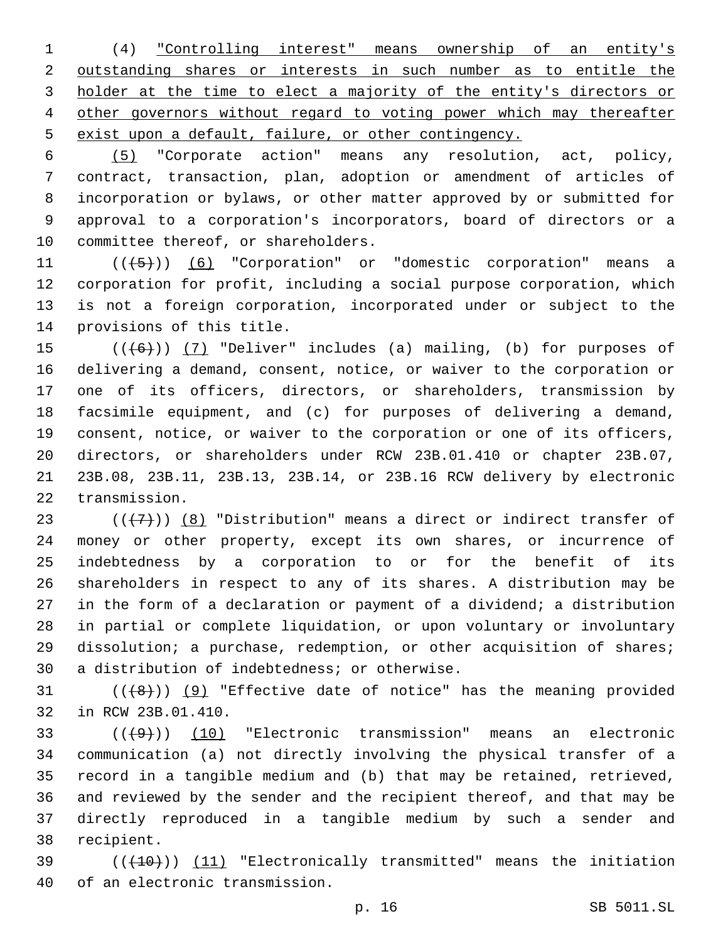(4) "Controlling interest" means ownership of an entity's outstanding shares or interests in such number as to entitle the holder at the time to elect a majority of the entity's directors or other governors without regard to voting power which may thereafter exist upon a default, failure, or other contingency.

 (5) "Corporate action" means any resolution, act, policy, contract, transaction, plan, adoption or amendment of articles of incorporation or bylaws, or other matter approved by or submitted for approval to a corporation's incorporators, board of directors or a 10 committee thereof, or shareholders.

11 ((+5)) (6) "Corporation" or "domestic corporation" means a corporation for profit, including a social purpose corporation, which is not a foreign corporation, incorporated under or subject to the 14 provisions of this title.

 $((+6))$  (7) "Deliver" includes (a) mailing, (b) for purposes of delivering a demand, consent, notice, or waiver to the corporation or one of its officers, directors, or shareholders, transmission by facsimile equipment, and (c) for purposes of delivering a demand, consent, notice, or waiver to the corporation or one of its officers, directors, or shareholders under RCW 23B.01.410 or chapter 23B.07, 23B.08, 23B.11, 23B.13, 23B.14, or 23B.16 RCW delivery by electronic 22 transmission.

 $((+7+))$  (8) "Distribution" means a direct or indirect transfer of money or other property, except its own shares, or incurrence of indebtedness by a corporation to or for the benefit of its shareholders in respect to any of its shares. A distribution may be in the form of a declaration or payment of a dividend; a distribution in partial or complete liquidation, or upon voluntary or involuntary dissolution; a purchase, redemption, or other acquisition of shares; 30 a distribution of indebtedness; or otherwise.

  $((+8))$   $(9)$  "Effective date of notice" has the meaning provided 32 in RCW 23B.01.410.

 $(1)(\overline{+9})$  (10) "Electronic transmission" means an electronic communication (a) not directly involving the physical transfer of a record in a tangible medium and (b) that may be retained, retrieved, and reviewed by the sender and the recipient thereof, and that may be directly reproduced in a tangible medium by such a sender and 38 recipient.

39 (((410)) (11) "Electronically transmitted" means the initiation 40 of an electronic transmission.

p. 16 SB 5011.SL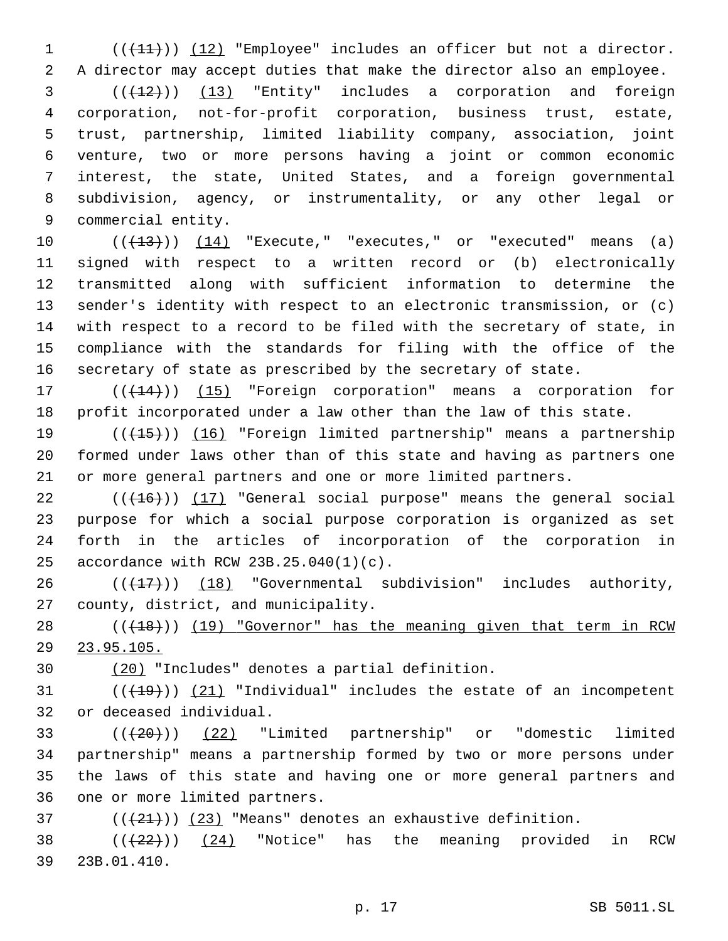1 (( $(11)$ )) (12) "Employee" includes an officer but not a director. A director may accept duties that make the director also an employee.

  $((+12))$   $(13)$  "Entity" includes a corporation and foreign corporation, not-for-profit corporation, business trust, estate, trust, partnership, limited liability company, association, joint venture, two or more persons having a joint or common economic interest, the state, United States, and a foreign governmental subdivision, agency, or instrumentality, or any other legal or 9 commercial entity.

 ( $(\overline{+13})$ )  $(14)$  "Execute," "executes," or "executed" means (a) signed with respect to a written record or (b) electronically transmitted along with sufficient information to determine the sender's identity with respect to an electronic transmission, or (c) with respect to a record to be filed with the secretary of state, in compliance with the standards for filing with the office of the secretary of state as prescribed by the secretary of state.

17 (( $(144)$ )) (15) "Foreign corporation" means a corporation for profit incorporated under a law other than the law of this state.

19 (( $(15)$ ) (16) "Foreign limited partnership" means a partnership formed under laws other than of this state and having as partners one or more general partners and one or more limited partners.

 $((+16))$  (17) "General social purpose" means the general social purpose for which a social purpose corporation is organized as set forth in the articles of incorporation of the corporation in 25 accordance with RCW  $23B.25.040(1)(c)$ .

 ( $(\overline{+17})$ )  $(18)$  "Governmental subdivision" includes authority, 27 county, district, and municipality.

28 (( $(18)$ )) (19) "Governor" has the meaning given that term in RCW 23.95.105.

30 (20) "Includes" denotes a partial definition.

 (( $(19)$ )) (21) "Individual" includes the estate of an incompetent 32 or deceased individual.

 (((20))) (22) "Limited partnership" or "domestic limited partnership" means a partnership formed by two or more persons under the laws of this state and having one or more general partners and 36 one or more limited partners.

( $(\frac{21}{2})$ ) (23) "Means" denotes an exhaustive definition.

38  $((+22))$   $(24)$  "Notice" has the meaning provided in RCW 23B.01.410.39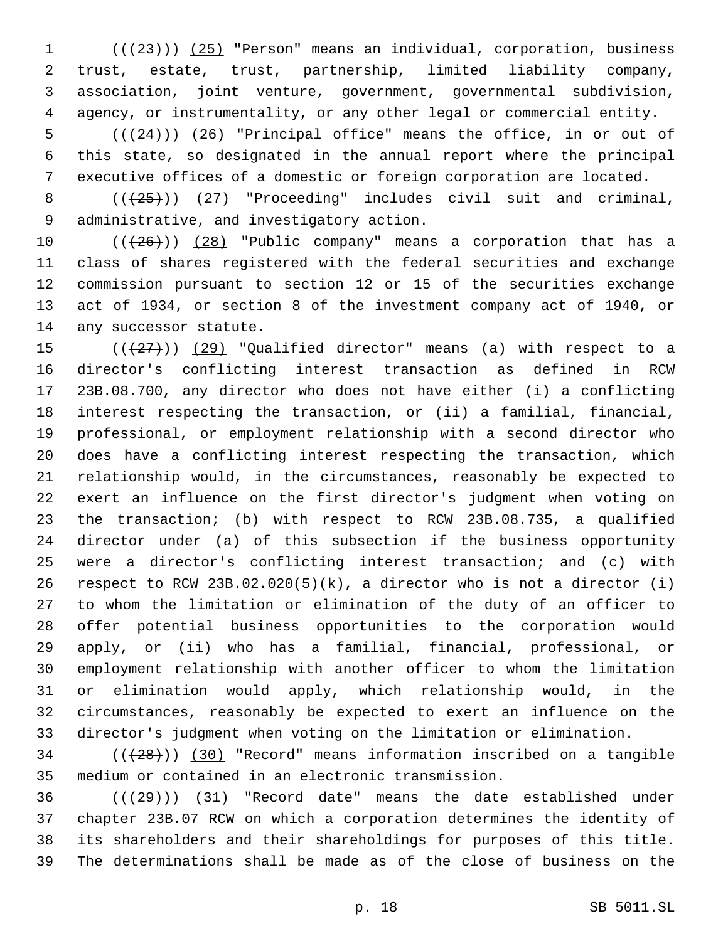1 (( $(23)$ )) (25) "Person" means an individual, corporation, business trust, estate, trust, partnership, limited liability company, association, joint venture, government, governmental subdivision, agency, or instrumentality, or any other legal or commercial entity.

5  $((+24))$   $(26)$  "Principal office" means the office, in or out of this state, so designated in the annual report where the principal executive offices of a domestic or foreign corporation are located.

8  $((+25+))$   $(27)$  "Proceeding" includes civil suit and criminal, 9 administrative, and investigatory action.

 $((+26))$   $(28)$  "Public company" means a corporation that has a class of shares registered with the federal securities and exchange commission pursuant to section 12 or 15 of the securities exchange act of 1934, or section 8 of the investment company act of 1940, or 14 any successor statute.

 $((+27))$   $(29)$  "Qualified director" means (a) with respect to a director's conflicting interest transaction as defined in RCW 23B.08.700, any director who does not have either (i) a conflicting interest respecting the transaction, or (ii) a familial, financial, professional, or employment relationship with a second director who does have a conflicting interest respecting the transaction, which relationship would, in the circumstances, reasonably be expected to exert an influence on the first director's judgment when voting on the transaction; (b) with respect to RCW 23B.08.735, a qualified director under (a) of this subsection if the business opportunity were a director's conflicting interest transaction; and (c) with 26 respect to RCW 23B.02.020(5)(k), a director who is not a director (i) to whom the limitation or elimination of the duty of an officer to offer potential business opportunities to the corporation would apply, or (ii) who has a familial, financial, professional, or employment relationship with another officer to whom the limitation or elimination would apply, which relationship would, in the circumstances, reasonably be expected to exert an influence on the director's judgment when voting on the limitation or elimination.

34 (( $(28)$ )) (30) "Record" means information inscribed on a tangible medium or contained in an electronic transmission.

36 (( $(29)$ )) (31) "Record date" means the date established under chapter 23B.07 RCW on which a corporation determines the identity of its shareholders and their shareholdings for purposes of this title. The determinations shall be made as of the close of business on the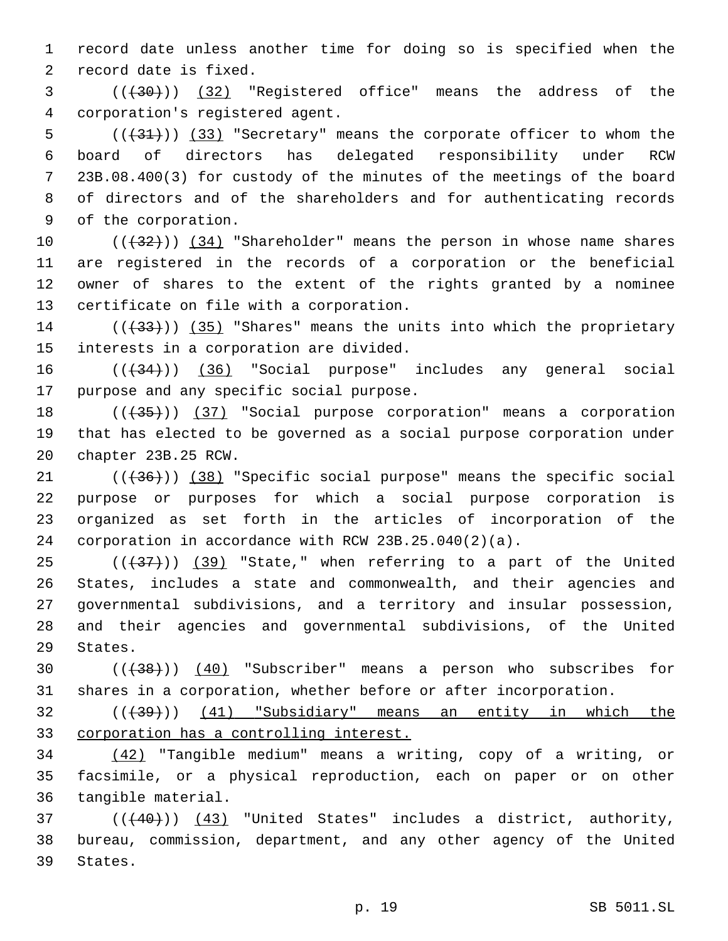1 record date unless another time for doing so is specified when the 2 record date is fixed.

3 (((30))) (32) "Registered office" means the address of the corporation's registered agent.4

 (( $(31)$ )) (33) "Secretary" means the corporate officer to whom the board of directors has delegated responsibility under RCW 23B.08.400(3) for custody of the minutes of the meetings of the board of directors and of the shareholders and for authenticating records 9 of the corporation.

10 (( $\left(\frac{32}{12}\right)$ ) (34) "Shareholder" means the person in whose name shares 11 are registered in the records of a corporation or the beneficial 12 owner of shares to the extent of the rights granted by a nominee 13 certificate on file with a corporation.

14 (( $(33)$ )) (35) "Shares" means the units into which the proprietary 15 interests in a corporation are divided.

16 ((+34))) (36) "Social purpose" includes any general social 17 purpose and any specific social purpose.

18 (( $\left(\frac{35}{10}\right)$ ) (37) "Social purpose corporation" means a corporation 19 that has elected to be governed as a social purpose corporation under 20 chapter 23B.25 RCW.

21 (( $(36)$ )) (38) "Specific social purpose" means the specific social purpose or purposes for which a social purpose corporation is organized as set forth in the articles of incorporation of the corporation in accordance with RCW 23B.25.040(2)(a).

 ( $(437)$ ) (39) "State," when referring to a part of the United States, includes a state and commonwealth, and their agencies and governmental subdivisions, and a territory and insular possession, and their agencies and governmental subdivisions, of the United 29 States.

30 (((38))) (40) "Subscriber" means a person who subscribes for 31 shares in a corporation, whether before or after incorporation.

32 (((39))) (41) "Subsidiary" means an entity in which the 33 corporation has a controlling interest.

34 (42) "Tangible medium" means a writing, copy of a writing, or 35 facsimile, or a physical reproduction, each on paper or on other 36 tangible material.

37 (( $(40)$ )) (43) "United States" includes a district, authority, 38 bureau, commission, department, and any other agency of the United 39 States.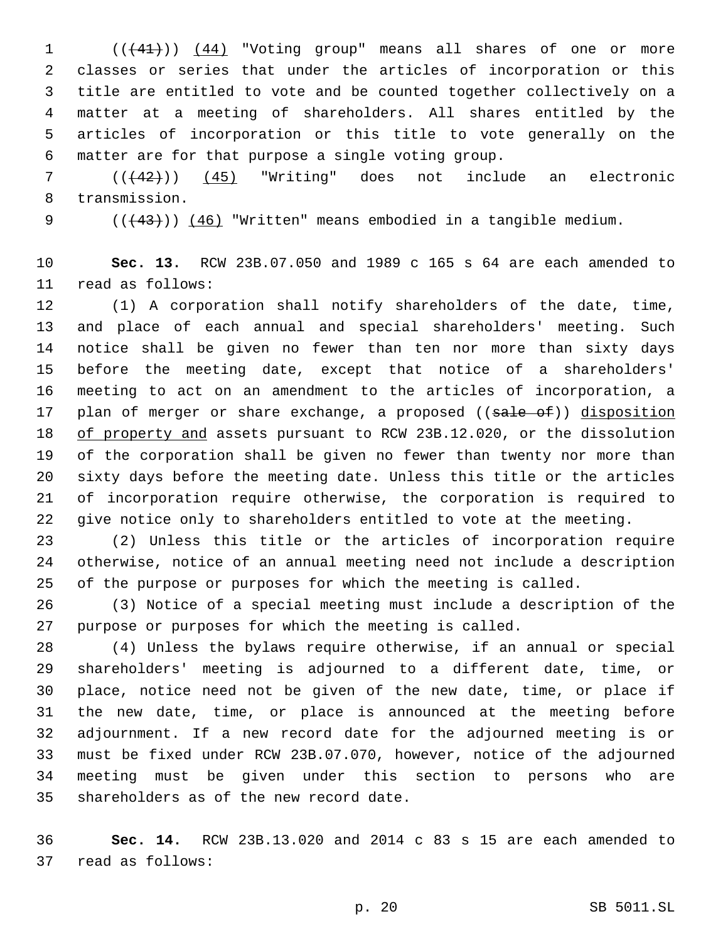1 (( $(41)$ )) (44) "Voting group" means all shares of one or more classes or series that under the articles of incorporation or this title are entitled to vote and be counted together collectively on a matter at a meeting of shareholders. All shares entitled by the articles of incorporation or this title to vote generally on the matter are for that purpose a single voting group.6

 (((42))) (45) "Writing" does not include an electronic 8 transmission.

9  $((43))$   $(46)$  "Written" means embodied in a tangible medium.

 **Sec. 13.** RCW 23B.07.050 and 1989 c 165 s 64 are each amended to 11 read as follows:

 (1) A corporation shall notify shareholders of the date, time, and place of each annual and special shareholders' meeting. Such notice shall be given no fewer than ten nor more than sixty days before the meeting date, except that notice of a shareholders' meeting to act on an amendment to the articles of incorporation, a 17 plan of merger or share exchange, a proposed ((sale of)) disposition of property and assets pursuant to RCW 23B.12.020, or the dissolution of the corporation shall be given no fewer than twenty nor more than sixty days before the meeting date. Unless this title or the articles of incorporation require otherwise, the corporation is required to give notice only to shareholders entitled to vote at the meeting.

 (2) Unless this title or the articles of incorporation require otherwise, notice of an annual meeting need not include a description of the purpose or purposes for which the meeting is called.

 (3) Notice of a special meeting must include a description of the purpose or purposes for which the meeting is called.

 (4) Unless the bylaws require otherwise, if an annual or special shareholders' meeting is adjourned to a different date, time, or place, notice need not be given of the new date, time, or place if the new date, time, or place is announced at the meeting before adjournment. If a new record date for the adjourned meeting is or must be fixed under RCW 23B.07.070, however, notice of the adjourned meeting must be given under this section to persons who are 35 shareholders as of the new record date.

 **Sec. 14.** RCW 23B.13.020 and 2014 c 83 s 15 are each amended to 37 read as follows: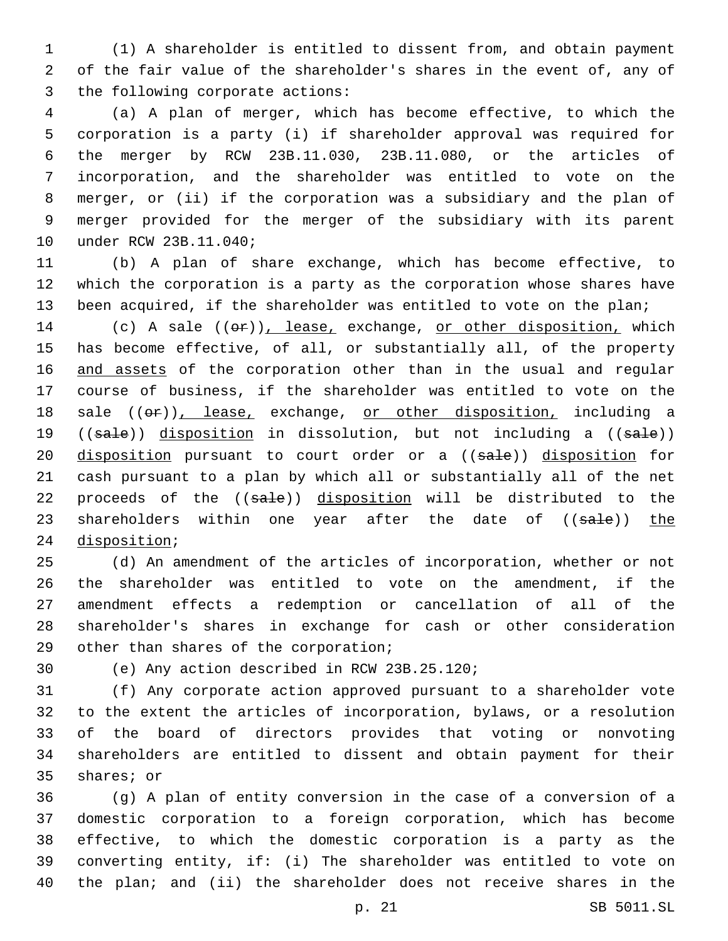(1) A shareholder is entitled to dissent from, and obtain payment of the fair value of the shareholder's shares in the event of, any of 3 the following corporate actions:

 (a) A plan of merger, which has become effective, to which the corporation is a party (i) if shareholder approval was required for the merger by RCW 23B.11.030, 23B.11.080, or the articles of incorporation, and the shareholder was entitled to vote on the merger, or (ii) if the corporation was a subsidiary and the plan of merger provided for the merger of the subsidiary with its parent 10 under RCW 23B.11.040;

 (b) A plan of share exchange, which has become effective, to which the corporation is a party as the corporation whose shares have 13 been acquired, if the shareholder was entitled to vote on the plan;

14 (c) A sale  $((\theta \cdot \mathbf{r}))$ , lease, exchange, or other disposition, which has become effective, of all, or substantially all, of the property 16 and assets of the corporation other than in the usual and regular course of business, if the shareholder was entitled to vote on the 18 sale  $((\theta \cdot \hat{r}))$ , lease, exchange, or other disposition, including a 19 ((sale)) disposition in dissolution, but not including a ((sale)) 20 disposition pursuant to court order or a ((sale)) disposition for cash pursuant to a plan by which all or substantially all of the net 22 proceeds of the ((sale)) disposition will be distributed to the 23 shareholders within one year after the date of ((sale)) the 24 disposition;

 (d) An amendment of the articles of incorporation, whether or not the shareholder was entitled to vote on the amendment, if the amendment effects a redemption or cancellation of all of the shareholder's shares in exchange for cash or other consideration 29 other than shares of the corporation;

(e) Any action described in RCW 23B.25.120;30

 (f) Any corporate action approved pursuant to a shareholder vote to the extent the articles of incorporation, bylaws, or a resolution of the board of directors provides that voting or nonvoting shareholders are entitled to dissent and obtain payment for their 35 shares; or

 (g) A plan of entity conversion in the case of a conversion of a domestic corporation to a foreign corporation, which has become effective, to which the domestic corporation is a party as the converting entity, if: (i) The shareholder was entitled to vote on the plan; and (ii) the shareholder does not receive shares in the

p. 21 SB 5011.SL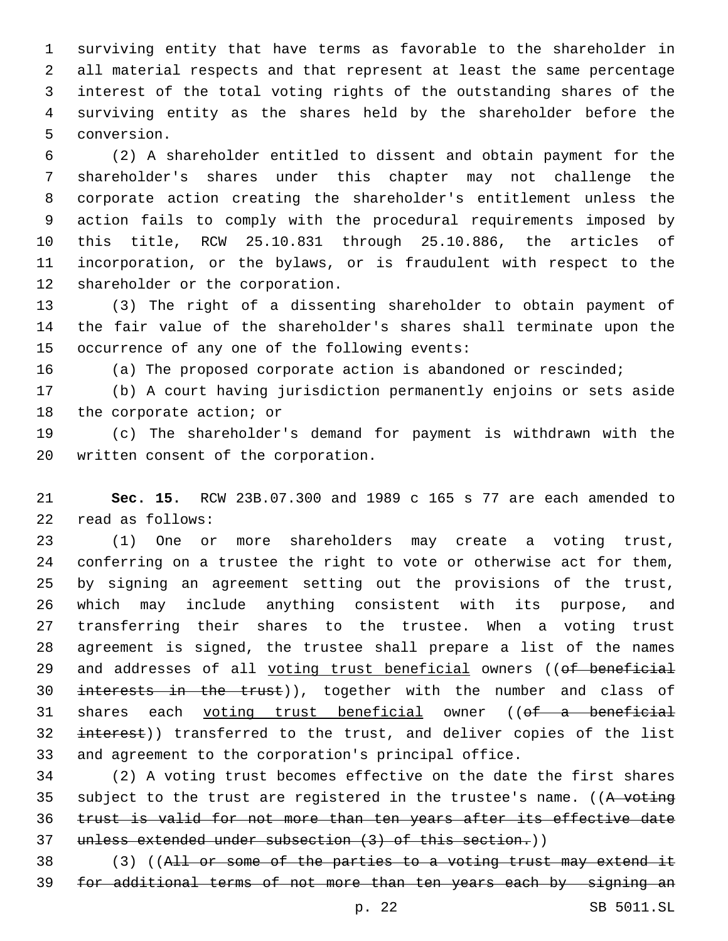surviving entity that have terms as favorable to the shareholder in all material respects and that represent at least the same percentage interest of the total voting rights of the outstanding shares of the surviving entity as the shares held by the shareholder before the 5 conversion.

 (2) A shareholder entitled to dissent and obtain payment for the shareholder's shares under this chapter may not challenge the corporate action creating the shareholder's entitlement unless the action fails to comply with the procedural requirements imposed by this title, RCW 25.10.831 through 25.10.886, the articles of incorporation, or the bylaws, or is fraudulent with respect to the 12 shareholder or the corporation.

 (3) The right of a dissenting shareholder to obtain payment of the fair value of the shareholder's shares shall terminate upon the 15 occurrence of any one of the following events:

(a) The proposed corporate action is abandoned or rescinded;

 (b) A court having jurisdiction permanently enjoins or sets aside 18 the corporate action; or

 (c) The shareholder's demand for payment is withdrawn with the 20 written consent of the corporation.

 **Sec. 15.** RCW 23B.07.300 and 1989 c 165 s 77 are each amended to 22 read as follows:

 (1) One or more shareholders may create a voting trust, conferring on a trustee the right to vote or otherwise act for them, by signing an agreement setting out the provisions of the trust, which may include anything consistent with its purpose, and transferring their shares to the trustee. When a voting trust agreement is signed, the trustee shall prepare a list of the names 29 and addresses of all voting trust beneficial owners ((of beneficial 30 interests in the trust)), together with the number and class of 31 shares each voting trust beneficial owner ((of a beneficial 32 interest)) transferred to the trust, and deliver copies of the list and agreement to the corporation's principal office.

 (2) A voting trust becomes effective on the date the first shares 35 subject to the trust are registered in the trustee's name. ((A voting trust is valid for not more than ten years after its effective date unless extended under subsection (3) of this section.))

 (3) ((All or some of the parties to a voting trust may extend it for additional terms of not more than ten years each by signing an

p. 22 SB 5011.SL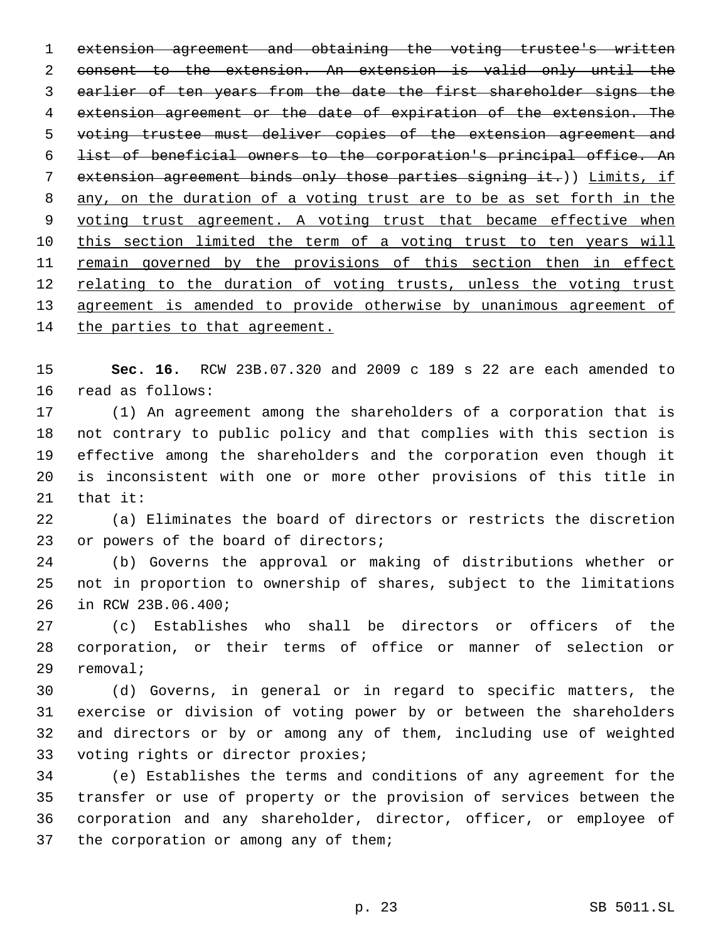extension agreement and obtaining the voting trustee's written consent to the extension. An extension is valid only until the earlier of ten years from the date the first shareholder signs the extension agreement or the date of expiration of the extension. The voting trustee must deliver copies of the extension agreement and list of beneficial owners to the corporation's principal office. An extension agreement binds only those parties signing it.)) Limits, if any, on the duration of a voting trust are to be as set forth in the voting trust agreement. A voting trust that became effective when this section limited the term of a voting trust to ten years will 11 remain governed by the provisions of this section then in effect 12 relating to the duration of voting trusts, unless the voting trust agreement is amended to provide otherwise by unanimous agreement of 14 the parties to that agreement.

 **Sec. 16.** RCW 23B.07.320 and 2009 c 189 s 22 are each amended to 16 read as follows:

 (1) An agreement among the shareholders of a corporation that is not contrary to public policy and that complies with this section is effective among the shareholders and the corporation even though it is inconsistent with one or more other provisions of this title in that it:

 (a) Eliminates the board of directors or restricts the discretion 23 or powers of the board of directors;

 (b) Governs the approval or making of distributions whether or not in proportion to ownership of shares, subject to the limitations 26 in RCW 23B.06.400;

 (c) Establishes who shall be directors or officers of the corporation, or their terms of office or manner of selection or 29 removal;

 (d) Governs, in general or in regard to specific matters, the exercise or division of voting power by or between the shareholders and directors or by or among any of them, including use of weighted 33 voting rights or director proxies;

 (e) Establishes the terms and conditions of any agreement for the transfer or use of property or the provision of services between the corporation and any shareholder, director, officer, or employee of 37 the corporation or among any of them;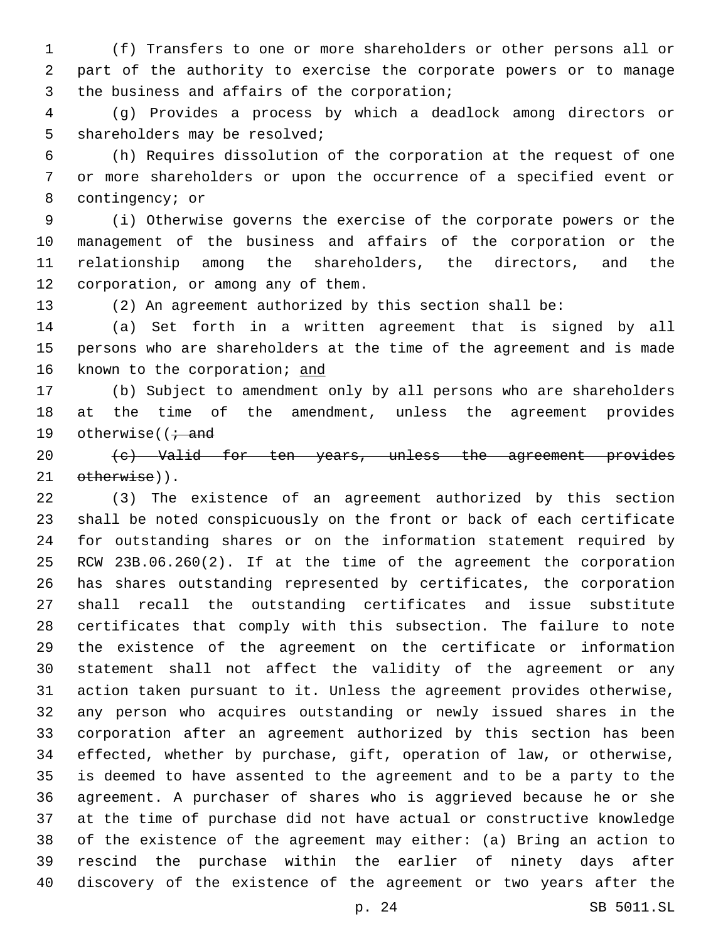(f) Transfers to one or more shareholders or other persons all or part of the authority to exercise the corporate powers or to manage 3 the business and affairs of the corporation;

 (g) Provides a process by which a deadlock among directors or 5 shareholders may be resolved;

 (h) Requires dissolution of the corporation at the request of one or more shareholders or upon the occurrence of a specified event or 8 contingency; or

 (i) Otherwise governs the exercise of the corporate powers or the management of the business and affairs of the corporation or the relationship among the shareholders, the directors, and the 12 corporation, or among any of them.

(2) An agreement authorized by this section shall be:

 (a) Set forth in a written agreement that is signed by all persons who are shareholders at the time of the agreement and is made known to the corporation; and

 (b) Subject to amendment only by all persons who are shareholders at the time of the amendment, unless the agreement provides 19 otherwise( $\overline{t}$  and

20 (c) Valid for ten years, unless the agreement provides 21 otherwise)).

 (3) The existence of an agreement authorized by this section shall be noted conspicuously on the front or back of each certificate for outstanding shares or on the information statement required by RCW 23B.06.260(2). If at the time of the agreement the corporation has shares outstanding represented by certificates, the corporation shall recall the outstanding certificates and issue substitute certificates that comply with this subsection. The failure to note the existence of the agreement on the certificate or information statement shall not affect the validity of the agreement or any action taken pursuant to it. Unless the agreement provides otherwise, any person who acquires outstanding or newly issued shares in the corporation after an agreement authorized by this section has been effected, whether by purchase, gift, operation of law, or otherwise, is deemed to have assented to the agreement and to be a party to the agreement. A purchaser of shares who is aggrieved because he or she at the time of purchase did not have actual or constructive knowledge of the existence of the agreement may either: (a) Bring an action to rescind the purchase within the earlier of ninety days after discovery of the existence of the agreement or two years after the

p. 24 SB 5011.SL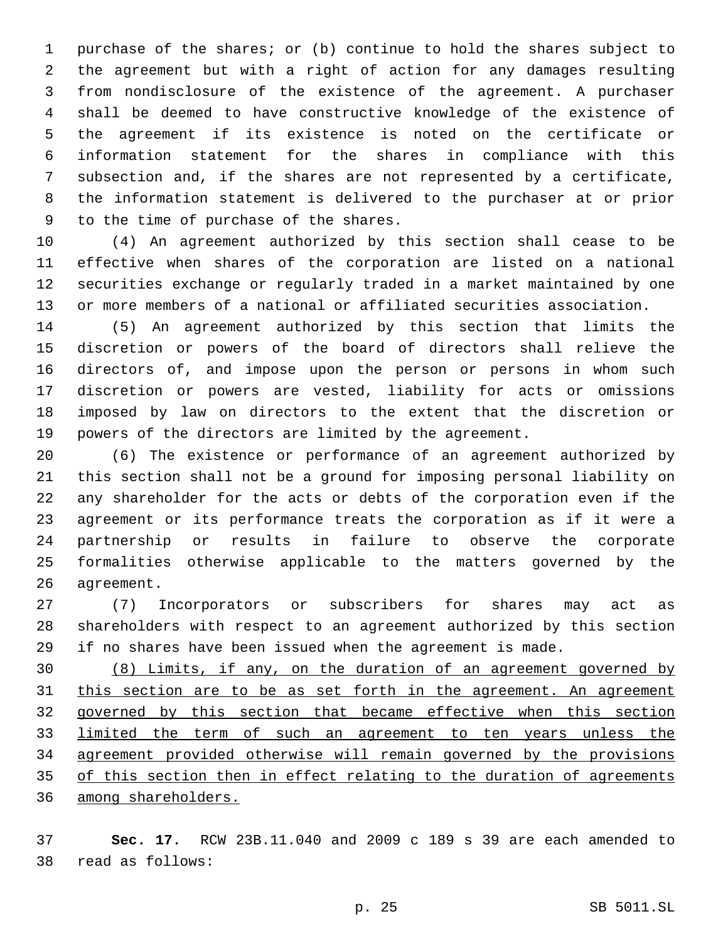purchase of the shares; or (b) continue to hold the shares subject to the agreement but with a right of action for any damages resulting from nondisclosure of the existence of the agreement. A purchaser shall be deemed to have constructive knowledge of the existence of the agreement if its existence is noted on the certificate or information statement for the shares in compliance with this subsection and, if the shares are not represented by a certificate, the information statement is delivered to the purchaser at or prior 9 to the time of purchase of the shares.

 (4) An agreement authorized by this section shall cease to be effective when shares of the corporation are listed on a national securities exchange or regularly traded in a market maintained by one or more members of a national or affiliated securities association.

 (5) An agreement authorized by this section that limits the discretion or powers of the board of directors shall relieve the directors of, and impose upon the person or persons in whom such discretion or powers are vested, liability for acts or omissions imposed by law on directors to the extent that the discretion or powers of the directors are limited by the agreement.

 (6) The existence or performance of an agreement authorized by this section shall not be a ground for imposing personal liability on any shareholder for the acts or debts of the corporation even if the agreement or its performance treats the corporation as if it were a partnership or results in failure to observe the corporate formalities otherwise applicable to the matters governed by the 26 agreement.

 (7) Incorporators or subscribers for shares may act as shareholders with respect to an agreement authorized by this section if no shares have been issued when the agreement is made.

 (8) Limits, if any, on the duration of an agreement governed by 31 this section are to be as set forth in the agreement. An agreement governed by this section that became effective when this section limited the term of such an agreement to ten years unless the agreement provided otherwise will remain governed by the provisions 35 of this section then in effect relating to the duration of agreements among shareholders.

 **Sec. 17.** RCW 23B.11.040 and 2009 c 189 s 39 are each amended to read as follows:38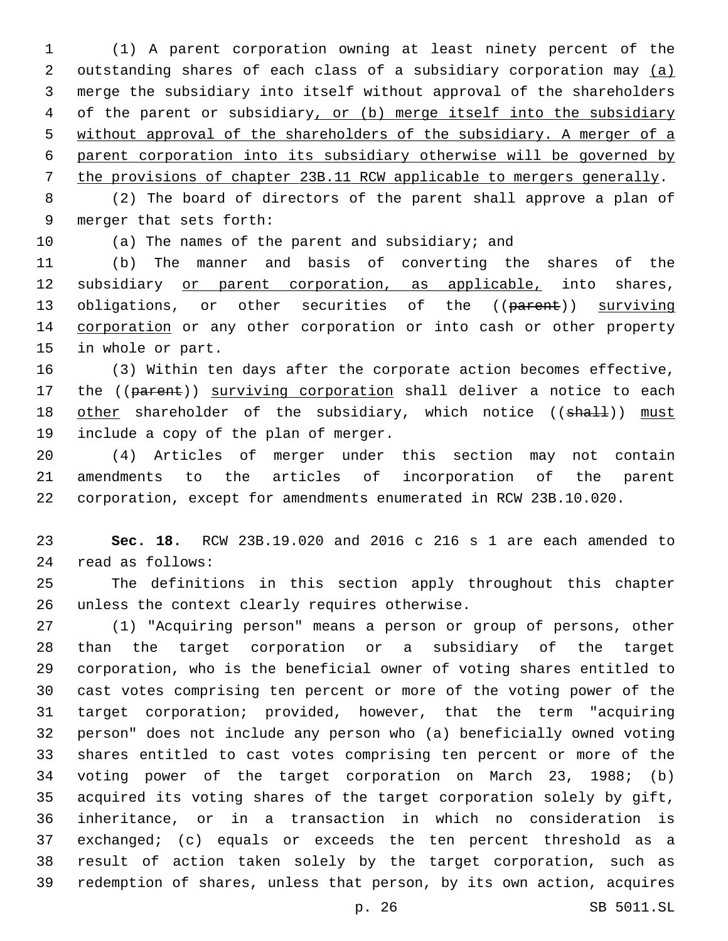(1) A parent corporation owning at least ninety percent of the outstanding shares of each class of a subsidiary corporation may (a) merge the subsidiary into itself without approval of the shareholders of the parent or subsidiary, or (b) merge itself into the subsidiary without approval of the shareholders of the subsidiary. A merger of a parent corporation into its subsidiary otherwise will be governed by the provisions of chapter 23B.11 RCW applicable to mergers generally.

 (2) The board of directors of the parent shall approve a plan of 9 merger that sets forth:

(a) The names of the parent and subsidiary; and

 (b) The manner and basis of converting the shares of the subsidiary or parent corporation, as applicable, into shares, 13 obligations, or other securities of the ((parent)) surviving corporation or any other corporation or into cash or other property 15 in whole or part.

 (3) Within ten days after the corporate action becomes effective, 17 the ((parent)) surviving corporation shall deliver a notice to each 18 other shareholder of the subsidiary, which notice ((shall)) must 19 include a copy of the plan of merger.

 (4) Articles of merger under this section may not contain amendments to the articles of incorporation of the parent corporation, except for amendments enumerated in RCW 23B.10.020.

 **Sec. 18.** RCW 23B.19.020 and 2016 c 216 s 1 are each amended to read as follows:24

 The definitions in this section apply throughout this chapter 26 unless the context clearly requires otherwise.

 (1) "Acquiring person" means a person or group of persons, other than the target corporation or a subsidiary of the target corporation, who is the beneficial owner of voting shares entitled to cast votes comprising ten percent or more of the voting power of the target corporation; provided, however, that the term "acquiring person" does not include any person who (a) beneficially owned voting shares entitled to cast votes comprising ten percent or more of the voting power of the target corporation on March 23, 1988; (b) acquired its voting shares of the target corporation solely by gift, inheritance, or in a transaction in which no consideration is exchanged; (c) equals or exceeds the ten percent threshold as a result of action taken solely by the target corporation, such as redemption of shares, unless that person, by its own action, acquires

p. 26 SB 5011.SL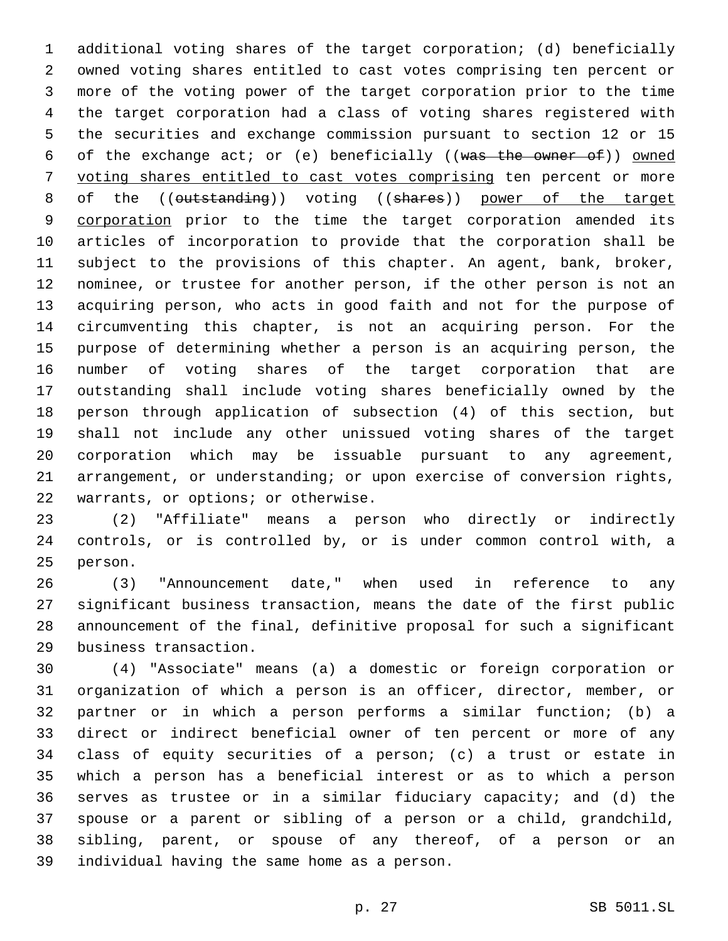additional voting shares of the target corporation; (d) beneficially owned voting shares entitled to cast votes comprising ten percent or more of the voting power of the target corporation prior to the time the target corporation had a class of voting shares registered with the securities and exchange commission pursuant to section 12 or 15 6 of the exchange act; or (e) beneficially ((was the owner of)) owned voting shares entitled to cast votes comprising ten percent or more 8 of the ((outstanding)) voting ((shares)) power of the target 9 corporation prior to the time the target corporation amended its articles of incorporation to provide that the corporation shall be subject to the provisions of this chapter. An agent, bank, broker, nominee, or trustee for another person, if the other person is not an acquiring person, who acts in good faith and not for the purpose of circumventing this chapter, is not an acquiring person. For the purpose of determining whether a person is an acquiring person, the number of voting shares of the target corporation that are outstanding shall include voting shares beneficially owned by the person through application of subsection (4) of this section, but shall not include any other unissued voting shares of the target corporation which may be issuable pursuant to any agreement, arrangement, or understanding; or upon exercise of conversion rights, 22 warrants, or options; or otherwise.

 (2) "Affiliate" means a person who directly or indirectly controls, or is controlled by, or is under common control with, a 25 person.

 (3) "Announcement date," when used in reference to any significant business transaction, means the date of the first public announcement of the final, definitive proposal for such a significant business transaction.29

 (4) "Associate" means (a) a domestic or foreign corporation or organization of which a person is an officer, director, member, or partner or in which a person performs a similar function; (b) a direct or indirect beneficial owner of ten percent or more of any class of equity securities of a person; (c) a trust or estate in which a person has a beneficial interest or as to which a person serves as trustee or in a similar fiduciary capacity; and (d) the spouse or a parent or sibling of a person or a child, grandchild, sibling, parent, or spouse of any thereof, of a person or an 39 individual having the same home as a person.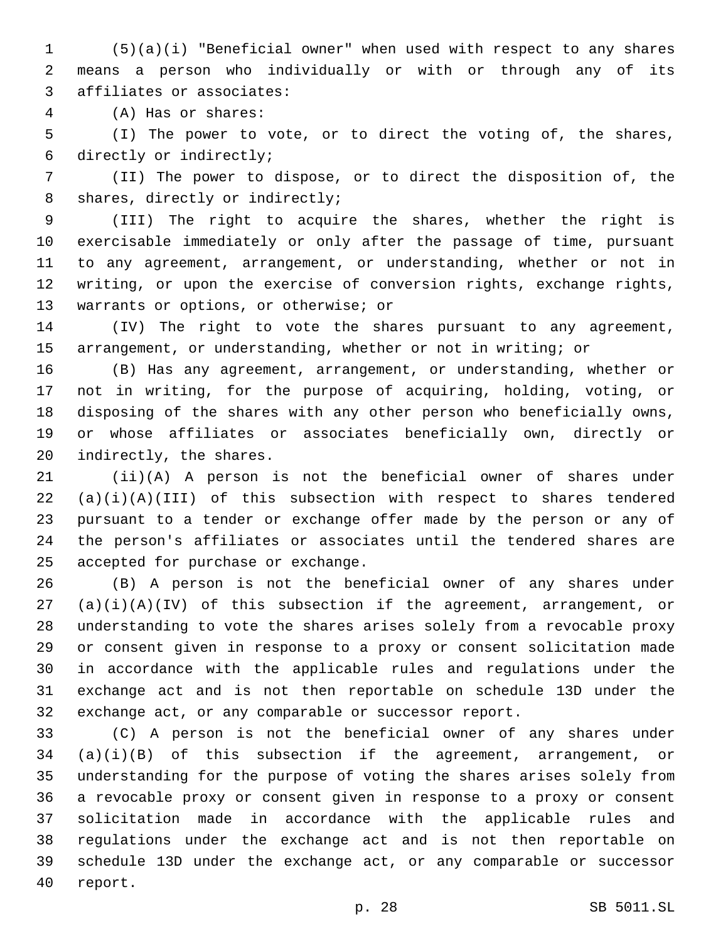(5)(a)(i) "Beneficial owner" when used with respect to any shares means a person who individually or with or through any of its 3 affiliates or associates:

(A) Has or shares:4

 (I) The power to vote, or to direct the voting of, the shares, 6 directly or indirectly;

 (II) The power to dispose, or to direct the disposition of, the 8 shares, directly or indirectly;

 (III) The right to acquire the shares, whether the right is exercisable immediately or only after the passage of time, pursuant to any agreement, arrangement, or understanding, whether or not in writing, or upon the exercise of conversion rights, exchange rights, 13 warrants or options, or otherwise; or

 (IV) The right to vote the shares pursuant to any agreement, arrangement, or understanding, whether or not in writing; or

 (B) Has any agreement, arrangement, or understanding, whether or not in writing, for the purpose of acquiring, holding, voting, or disposing of the shares with any other person who beneficially owns, or whose affiliates or associates beneficially own, directly or 20 indirectly, the shares.

 (ii)(A) A person is not the beneficial owner of shares under (a)(i)(A)(III) of this subsection with respect to shares tendered pursuant to a tender or exchange offer made by the person or any of the person's affiliates or associates until the tendered shares are 25 accepted for purchase or exchange.

 (B) A person is not the beneficial owner of any shares under (a)(i)(A)(IV) of this subsection if the agreement, arrangement, or understanding to vote the shares arises solely from a revocable proxy or consent given in response to a proxy or consent solicitation made in accordance with the applicable rules and regulations under the exchange act and is not then reportable on schedule 13D under the exchange act, or any comparable or successor report.

 (C) A person is not the beneficial owner of any shares under (a)(i)(B) of this subsection if the agreement, arrangement, or understanding for the purpose of voting the shares arises solely from a revocable proxy or consent given in response to a proxy or consent solicitation made in accordance with the applicable rules and regulations under the exchange act and is not then reportable on schedule 13D under the exchange act, or any comparable or successor 40 report.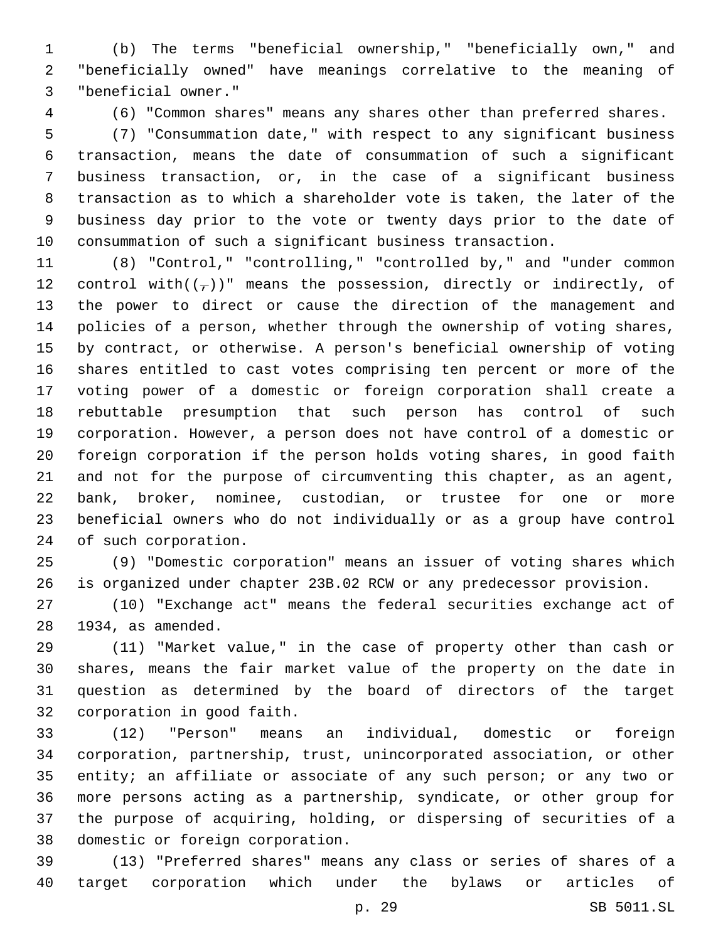(b) The terms "beneficial ownership," "beneficially own," and "beneficially owned" have meanings correlative to the meaning of "beneficial owner."3

(6) "Common shares" means any shares other than preferred shares.

 (7) "Consummation date," with respect to any significant business transaction, means the date of consummation of such a significant business transaction, or, in the case of a significant business transaction as to which a shareholder vote is taken, the later of the business day prior to the vote or twenty days prior to the date of consummation of such a significant business transaction.

 (8) "Control," "controlling," "controlled by," and "under common 12 control with( $(\tau)$ )" means the possession, directly or indirectly, of the power to direct or cause the direction of the management and policies of a person, whether through the ownership of voting shares, by contract, or otherwise. A person's beneficial ownership of voting shares entitled to cast votes comprising ten percent or more of the voting power of a domestic or foreign corporation shall create a rebuttable presumption that such person has control of such corporation. However, a person does not have control of a domestic or foreign corporation if the person holds voting shares, in good faith and not for the purpose of circumventing this chapter, as an agent, bank, broker, nominee, custodian, or trustee for one or more beneficial owners who do not individually or as a group have control 24 of such corporation.

 (9) "Domestic corporation" means an issuer of voting shares which is organized under chapter 23B.02 RCW or any predecessor provision.

 (10) "Exchange act" means the federal securities exchange act of 28 1934, as amended.

 (11) "Market value," in the case of property other than cash or shares, means the fair market value of the property on the date in question as determined by the board of directors of the target 32 corporation in good faith.

 (12) "Person" means an individual, domestic or foreign corporation, partnership, trust, unincorporated association, or other entity; an affiliate or associate of any such person; or any two or more persons acting as a partnership, syndicate, or other group for the purpose of acquiring, holding, or dispersing of securities of a 38 domestic or foreign corporation.

 (13) "Preferred shares" means any class or series of shares of a target corporation which under the bylaws or articles of

p. 29 SB 5011.SL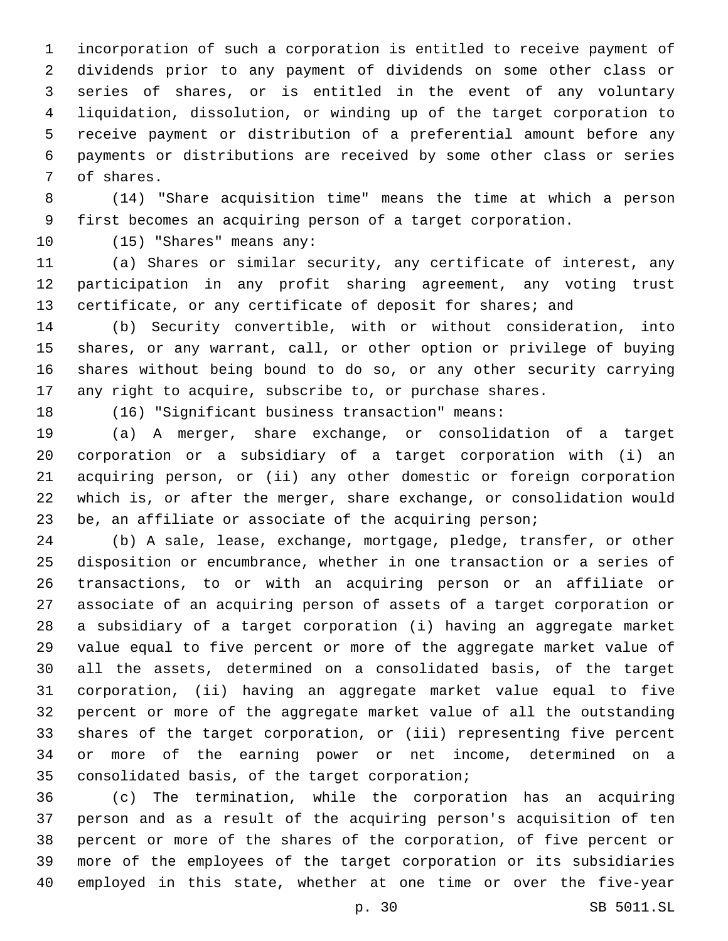incorporation of such a corporation is entitled to receive payment of dividends prior to any payment of dividends on some other class or series of shares, or is entitled in the event of any voluntary liquidation, dissolution, or winding up of the target corporation to receive payment or distribution of a preferential amount before any payments or distributions are received by some other class or series 7 of shares.

 (14) "Share acquisition time" means the time at which a person first becomes an acquiring person of a target corporation.

10 (15) "Shares" means any:

 (a) Shares or similar security, any certificate of interest, any participation in any profit sharing agreement, any voting trust 13 certificate, or any certificate of deposit for shares; and

 (b) Security convertible, with or without consideration, into shares, or any warrant, call, or other option or privilege of buying shares without being bound to do so, or any other security carrying any right to acquire, subscribe to, or purchase shares.

(16) "Significant business transaction" means:

 (a) A merger, share exchange, or consolidation of a target corporation or a subsidiary of a target corporation with (i) an acquiring person, or (ii) any other domestic or foreign corporation which is, or after the merger, share exchange, or consolidation would be, an affiliate or associate of the acquiring person;

 (b) A sale, lease, exchange, mortgage, pledge, transfer, or other disposition or encumbrance, whether in one transaction or a series of transactions, to or with an acquiring person or an affiliate or associate of an acquiring person of assets of a target corporation or a subsidiary of a target corporation (i) having an aggregate market value equal to five percent or more of the aggregate market value of all the assets, determined on a consolidated basis, of the target corporation, (ii) having an aggregate market value equal to five percent or more of the aggregate market value of all the outstanding shares of the target corporation, or (iii) representing five percent or more of the earning power or net income, determined on a 35 consolidated basis, of the target corporation;

 (c) The termination, while the corporation has an acquiring person and as a result of the acquiring person's acquisition of ten percent or more of the shares of the corporation, of five percent or more of the employees of the target corporation or its subsidiaries employed in this state, whether at one time or over the five-year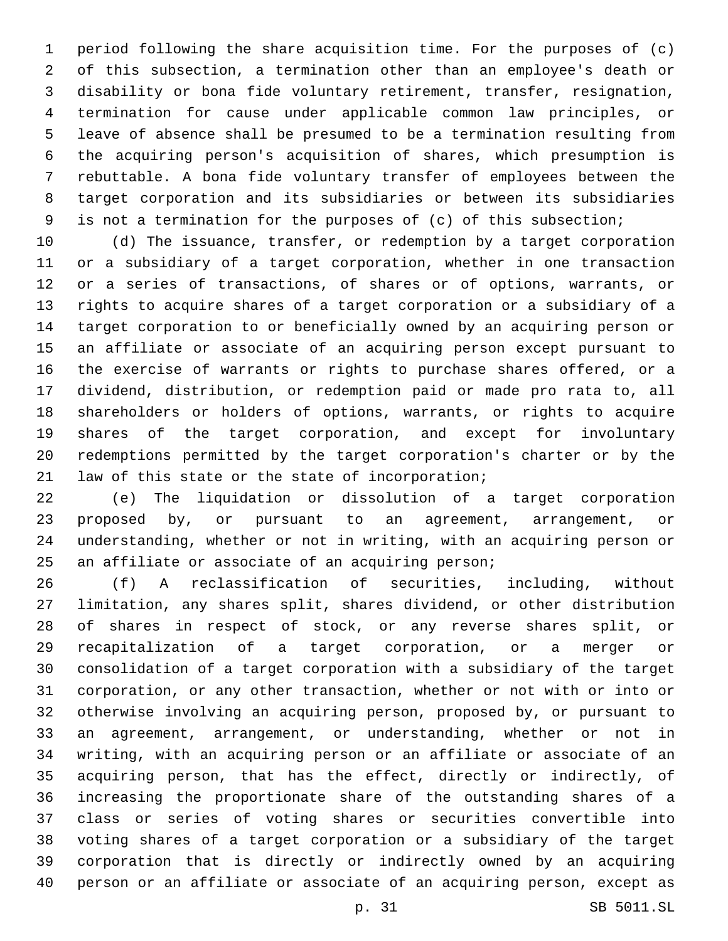period following the share acquisition time. For the purposes of (c) of this subsection, a termination other than an employee's death or disability or bona fide voluntary retirement, transfer, resignation, termination for cause under applicable common law principles, or leave of absence shall be presumed to be a termination resulting from the acquiring person's acquisition of shares, which presumption is rebuttable. A bona fide voluntary transfer of employees between the target corporation and its subsidiaries or between its subsidiaries is not a termination for the purposes of (c) of this subsection;

 (d) The issuance, transfer, or redemption by a target corporation or a subsidiary of a target corporation, whether in one transaction or a series of transactions, of shares or of options, warrants, or rights to acquire shares of a target corporation or a subsidiary of a target corporation to or beneficially owned by an acquiring person or an affiliate or associate of an acquiring person except pursuant to the exercise of warrants or rights to purchase shares offered, or a dividend, distribution, or redemption paid or made pro rata to, all shareholders or holders of options, warrants, or rights to acquire shares of the target corporation, and except for involuntary redemptions permitted by the target corporation's charter or by the 21 law of this state or the state of incorporation;

 (e) The liquidation or dissolution of a target corporation proposed by, or pursuant to an agreement, arrangement, or understanding, whether or not in writing, with an acquiring person or 25 an affiliate or associate of an acquiring person;

 (f) A reclassification of securities, including, without limitation, any shares split, shares dividend, or other distribution of shares in respect of stock, or any reverse shares split, or recapitalization of a target corporation, or a merger or consolidation of a target corporation with a subsidiary of the target corporation, or any other transaction, whether or not with or into or otherwise involving an acquiring person, proposed by, or pursuant to an agreement, arrangement, or understanding, whether or not in writing, with an acquiring person or an affiliate or associate of an acquiring person, that has the effect, directly or indirectly, of increasing the proportionate share of the outstanding shares of a class or series of voting shares or securities convertible into voting shares of a target corporation or a subsidiary of the target corporation that is directly or indirectly owned by an acquiring person or an affiliate or associate of an acquiring person, except as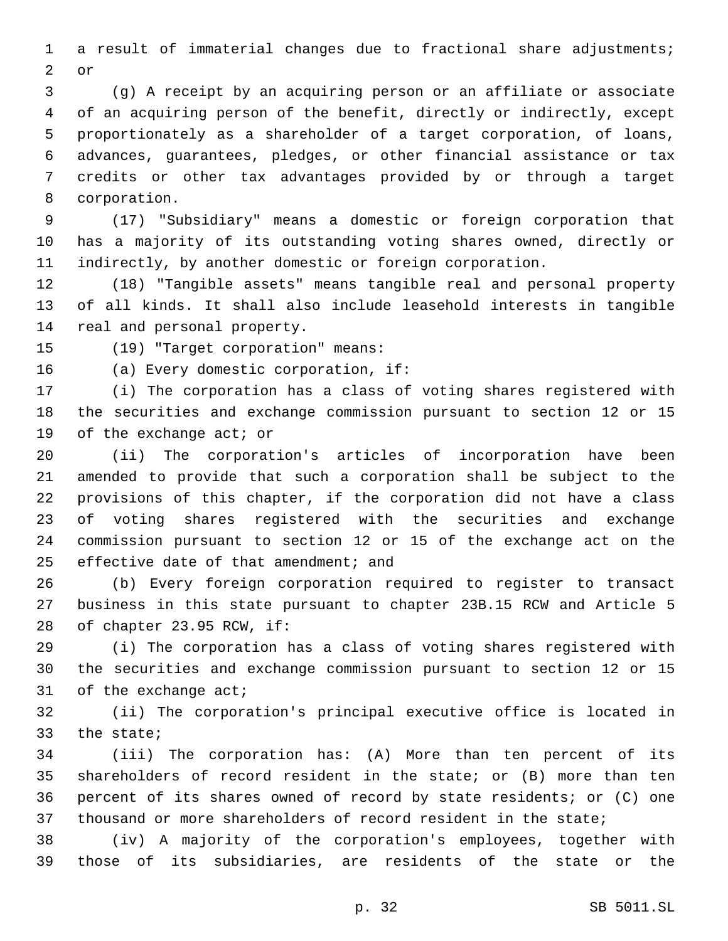a result of immaterial changes due to fractional share adjustments; 2 or

 (g) A receipt by an acquiring person or an affiliate or associate of an acquiring person of the benefit, directly or indirectly, except proportionately as a shareholder of a target corporation, of loans, advances, guarantees, pledges, or other financial assistance or tax credits or other tax advantages provided by or through a target 8 corporation.

 (17) "Subsidiary" means a domestic or foreign corporation that has a majority of its outstanding voting shares owned, directly or indirectly, by another domestic or foreign corporation.

 (18) "Tangible assets" means tangible real and personal property of all kinds. It shall also include leasehold interests in tangible 14 real and personal property.

15 (19) "Target corporation" means:

16 (a) Every domestic corporation, if:

 (i) The corporation has a class of voting shares registered with the securities and exchange commission pursuant to section 12 or 15 19 of the exchange act; or

 (ii) The corporation's articles of incorporation have been amended to provide that such a corporation shall be subject to the provisions of this chapter, if the corporation did not have a class of voting shares registered with the securities and exchange commission pursuant to section 12 or 15 of the exchange act on the 25 effective date of that amendment; and

 (b) Every foreign corporation required to register to transact business in this state pursuant to chapter 23B.15 RCW and Article 5 28 of chapter 23.95 RCW, if:

 (i) The corporation has a class of voting shares registered with the securities and exchange commission pursuant to section 12 or 15 of the exchange act;

 (ii) The corporation's principal executive office is located in 33 the state;

 (iii) The corporation has: (A) More than ten percent of its shareholders of record resident in the state; or (B) more than ten percent of its shares owned of record by state residents; or (C) one thousand or more shareholders of record resident in the state;

 (iv) A majority of the corporation's employees, together with those of its subsidiaries, are residents of the state or the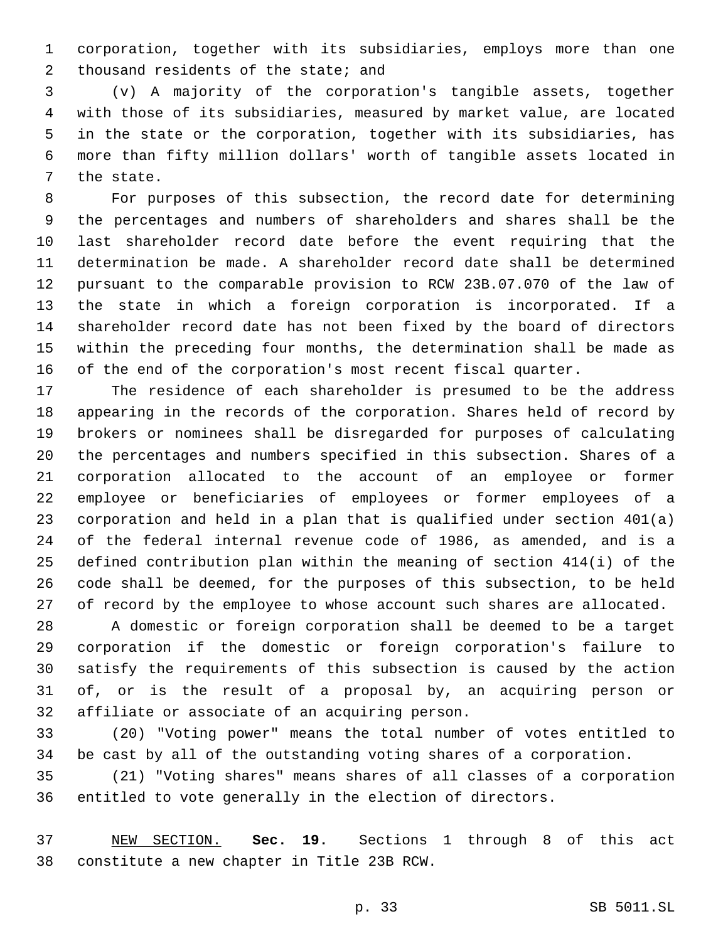corporation, together with its subsidiaries, employs more than one 2 thousand residents of the state; and

 (v) A majority of the corporation's tangible assets, together with those of its subsidiaries, measured by market value, are located in the state or the corporation, together with its subsidiaries, has more than fifty million dollars' worth of tangible assets located in 7 the state.

 For purposes of this subsection, the record date for determining the percentages and numbers of shareholders and shares shall be the last shareholder record date before the event requiring that the determination be made. A shareholder record date shall be determined pursuant to the comparable provision to RCW 23B.07.070 of the law of the state in which a foreign corporation is incorporated. If a shareholder record date has not been fixed by the board of directors within the preceding four months, the determination shall be made as of the end of the corporation's most recent fiscal quarter.

 The residence of each shareholder is presumed to be the address appearing in the records of the corporation. Shares held of record by brokers or nominees shall be disregarded for purposes of calculating the percentages and numbers specified in this subsection. Shares of a corporation allocated to the account of an employee or former employee or beneficiaries of employees or former employees of a corporation and held in a plan that is qualified under section 401(a) of the federal internal revenue code of 1986, as amended, and is a defined contribution plan within the meaning of section 414(i) of the code shall be deemed, for the purposes of this subsection, to be held 27 of record by the employee to whose account such shares are allocated.

 A domestic or foreign corporation shall be deemed to be a target corporation if the domestic or foreign corporation's failure to satisfy the requirements of this subsection is caused by the action of, or is the result of a proposal by, an acquiring person or 32 affiliate or associate of an acquiring person.

 (20) "Voting power" means the total number of votes entitled to be cast by all of the outstanding voting shares of a corporation.

 (21) "Voting shares" means shares of all classes of a corporation entitled to vote generally in the election of directors.

 NEW SECTION. **Sec. 19.** Sections 1 through 8 of this act constitute a new chapter in Title 23B RCW.